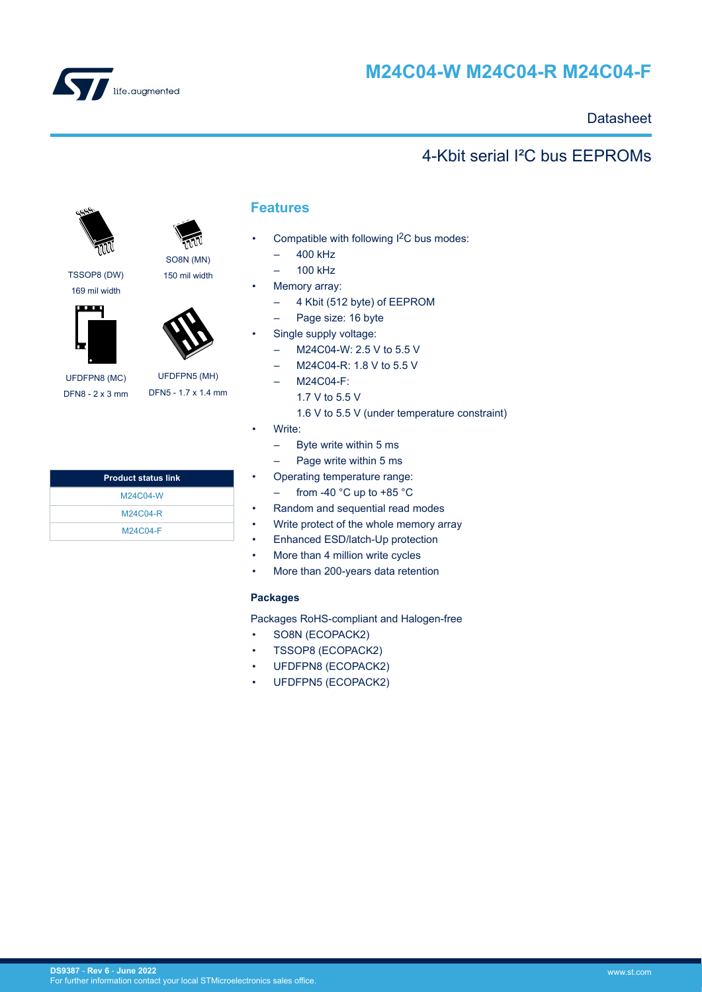<span id="page-0-0"></span>

# **M24C04-W M24C04-R M24C04-F**

## **Datasheet**

## 4-Kbit serial I²C bus EEPROMs



SO8N (MN)

150 mil width

TSSOP8 (DW) 169 mil width





UFDFPN8 (MC) DFN8 - 2 x 3 mm

UFDFPN5 (MH) DFN5 - 1.7 x 1.4 mm

| <b>Product status link</b> |  |
|----------------------------|--|
| M24C04-W                   |  |
| M24C04-R                   |  |
| M24C04-F                   |  |
|                            |  |

## **Features**

- Compatible with following I<sup>2</sup>C bus modes:
	- 400 kHz
	- 100 kHz
- Memory array:
	- 4 Kbit (512 byte) of EEPROM
	- Page size: 16 byte
- Single supply voltage:
	- M24C04-W: 2.5 V to 5.5 V
	- M24C04-R: 1.8 V to 5.5 V
	- M24C04-F:
		- 1.7 V to 5.5 V
		- 1.6 V to 5.5 V (under temperature constraint)
- Write:
	- Byte write within 5 ms
	- Page write within 5 ms
- Operating temperature range:
- from -40 °C up to +85 °C
- Random and sequential read modes
- Write protect of the whole memory array
- Enhanced ESD/latch-Up protection
- More than 4 million write cycles
- More than 200-years data retention

#### **Packages**

Packages RoHS-compliant and Halogen-free

- SO8N (ECOPACK2)
- TSSOP8 (ECOPACK2)
- UFDFPN8 (ECOPACK2)
- UFDFPN5 (ECOPACK2)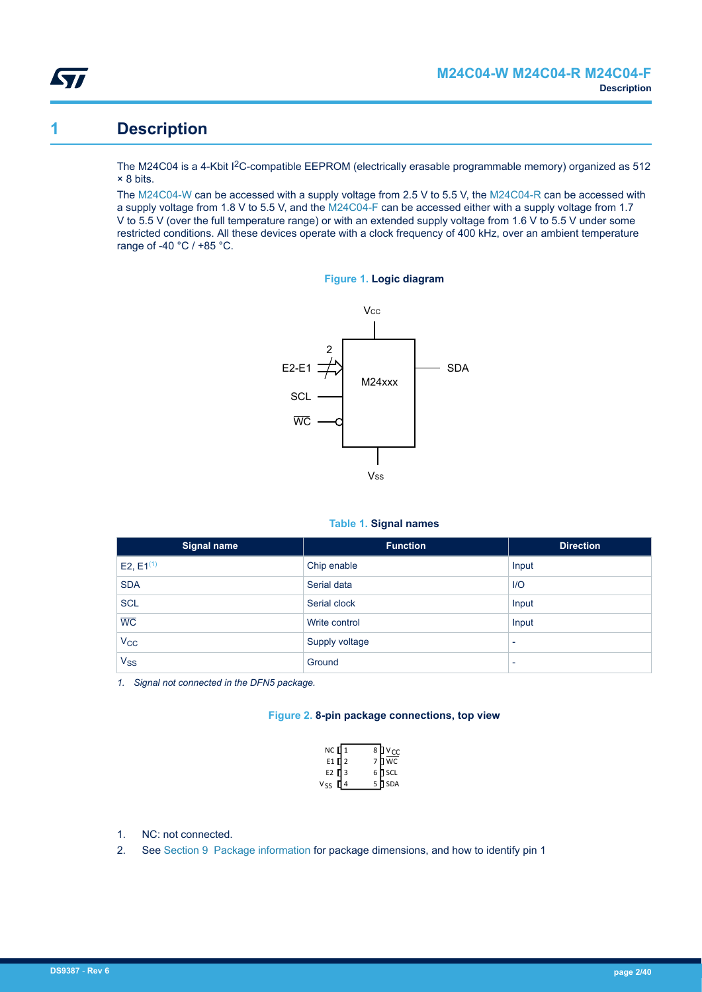<span id="page-1-0"></span>

## **1 Description**

The M24C04 is a 4-Kbit I<sup>2</sup>C-compatible EEPROM (electrically erasable programmable memory) organized as 512 × 8 bits.

The [M24C04-W](https://www.st.com/en/product/m24c04-w?ecmp=tt9470_gl_link_feb2019&rt=ds&id=DS9387) can be accessed with a supply voltage from 2.5 V to 5.5 V, the [M24C04-R](https://www.st.com/en/product/m24c04-r?ecmp=tt9470_gl_link_feb2019&rt=ds&id=DS9387) can be accessed with a supply voltage from 1.8 V to 5.5 V, and the [M24C04-F](https://www.st.com/en/product/m24c04-f?ecmp=tt9470_gl_link_feb2019&rt=ds&id=DS9387) can be accessed either with a supply voltage from 1.7 V to 5.5 V (over the full temperature range) or with an extended supply voltage from 1.6 V to 5.5 V under some restricted conditions. All these devices operate with a clock frequency of 400 kHz, over an ambient temperature range of -40 °C / +85 °C.





#### **Table 1. Signal names**

| Signal name           | <b>Function</b> | <b>Direction</b>         |
|-----------------------|-----------------|--------------------------|
| E2, $E1^{(1)}$        | Chip enable     | Input                    |
| <b>SDA</b>            | Serial data     | $II$                     |
| <b>SCL</b>            | Serial clock    | Input                    |
| $\overline{WC}$       | Write control   | Input                    |
| $V_{\rm CC}$          | Supply voltage  | $\overline{\phantom{0}}$ |
| <b>V<sub>SS</sub></b> | Ground          | $\overline{\phantom{0}}$ |

*1. Signal not connected in the DFN5 package.*

#### **Figure 2. 8-pin package connections, top view**

| $NC$ $1$                       | $81v_{cc}$                                                                                |
|--------------------------------|-------------------------------------------------------------------------------------------|
| E1 $\mathbf{q}$ <sub>2</sub>   | $\begin{array}{c} 7 \overline{)} \overline{wc} \\ 6 \overline{)} \text{ SCL} \end{array}$ |
| E <sub>2</sub> $\frac{1}{4}$ 3 |                                                                                           |
| $V_{SS}$                       | $5 \sqrt{ }$ SDA                                                                          |

- 1. NC: not connected.
- 2. See [Section 9 Package information](#page-25-0) for package dimensions, and how to identify pin 1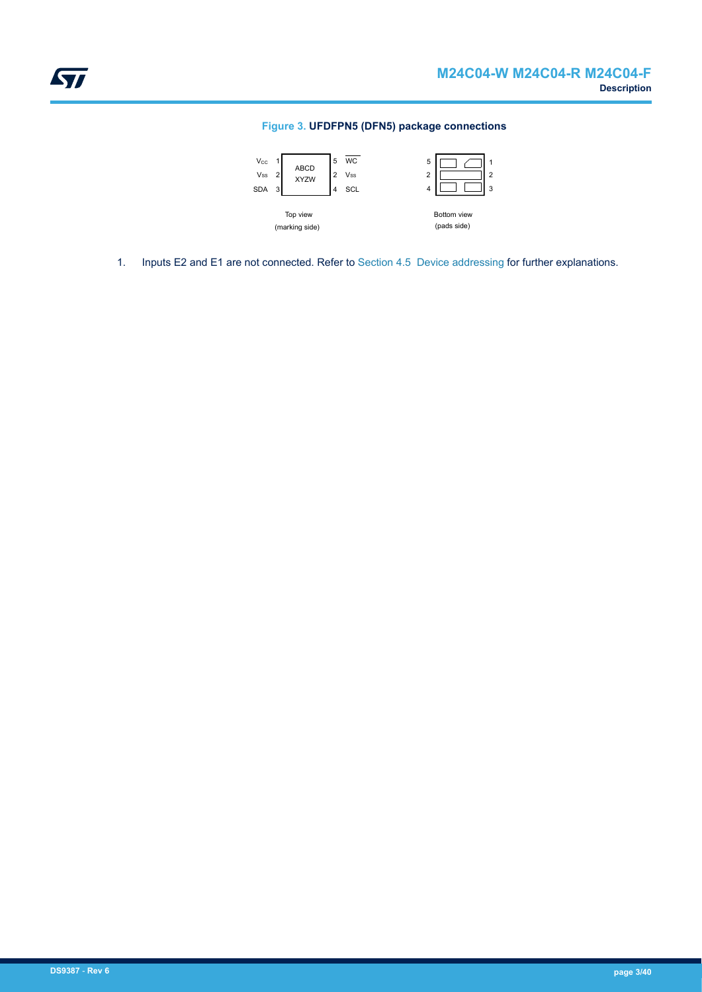#### **Figure 3. UFDFPN5 (DFN5) package connections**

<span id="page-2-0"></span>

1. Inputs E2 and E1 are not connected. Refer to [Section 4.5 Device addressing](#page-8-0) for further explanations.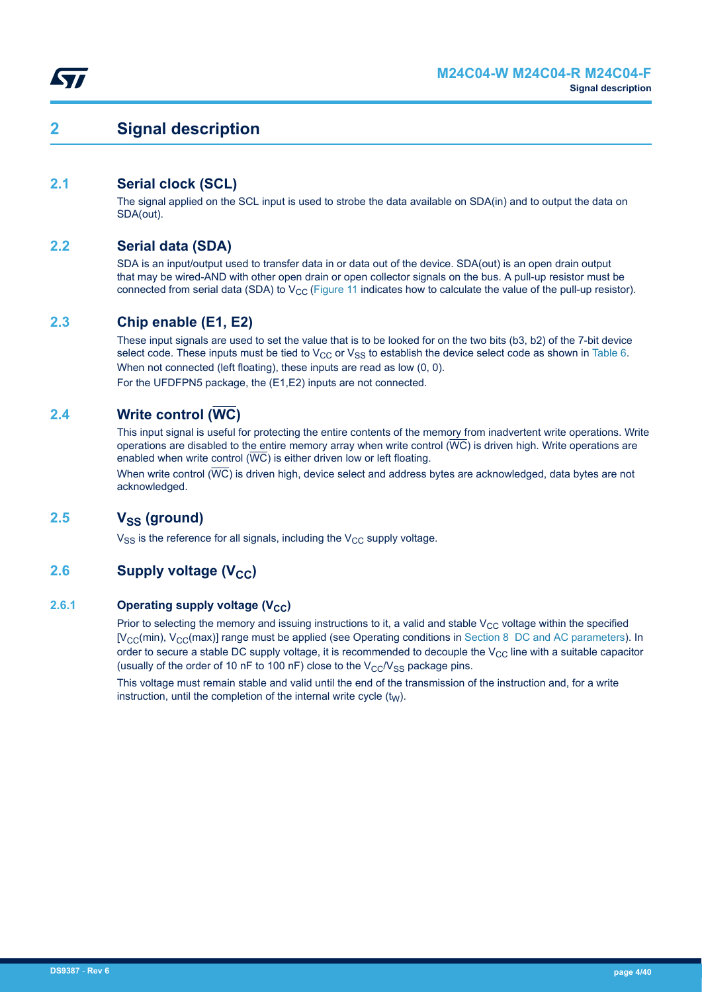## <span id="page-3-0"></span>**2 Signal description**

## **2.1 Serial clock (SCL)**

The signal applied on the SCL input is used to strobe the data available on SDA(in) and to output the data on SDA(out).

### **2.2 Serial data (SDA)**

SDA is an input/output used to transfer data in or data out of the device. SDA(out) is an open drain output that may be wired-AND with other open drain or open collector signals on the bus. A pull-up resistor must be connected from serial data (SDA) to  $V_{CC}$  [\(Figure 11](#page-24-0) indicates how to calculate the value of the pull-up resistor).

### **2.3 Chip enable (E1, E2)**

These input signals are used to set the value that is to be looked for on the two bits (b3, b2) of the 7-bit device select code. These inputs must be tied to  $V_{CC}$  or  $V_{SS}$  to establish the device select code as shown in [Table 6](#page-17-0). When not connected (left floating), these inputs are read as low (0, 0). For the UFDFPN5 package, the (E1,E2) inputs are not connected.

### **2.4 Write control (WC)**

This input signal is useful for protecting the entire contents of the memory from inadvertent write operations. Write operations are disabled to the entire memory array when write control  $(\overline{WC})$  is driven high. Write operations are enabled when write control  $(\overline{WC})$  is either driven low or left floating.

When write control  $(\overline{WC})$  is driven high, device select and address bytes are acknowledged, data bytes are not acknowledged.

### **2.5 VSS (ground)**

 $V_{SS}$  is the reference for all signals, including the  $V_{CC}$  supply voltage.

## **2.6 Supply voltage (V<sub>CC</sub>)**

#### **2.6.1 Operating supply voltage (V<sub>CC</sub>)**

Prior to selecting the memory and issuing instructions to it, a valid and stable  $V_{CC}$  voltage within the specified  $[V<sub>CC</sub>(min), V<sub>CC</sub>(max)]$  range must be applied (see Operating conditions in [Section 8 DC and AC parameters](#page-17-0)). In order to secure a stable DC supply voltage, it is recommended to decouple the  $V_{CC}$  line with a suitable capacitor (usually of the order of 10 nF to 100 nF) close to the  $V_{CC}/V_{SS}$  package pins.

This voltage must remain stable and valid until the end of the transmission of the instruction and, for a write instruction, until the completion of the internal write cycle  $(t<sub>W</sub>)$ .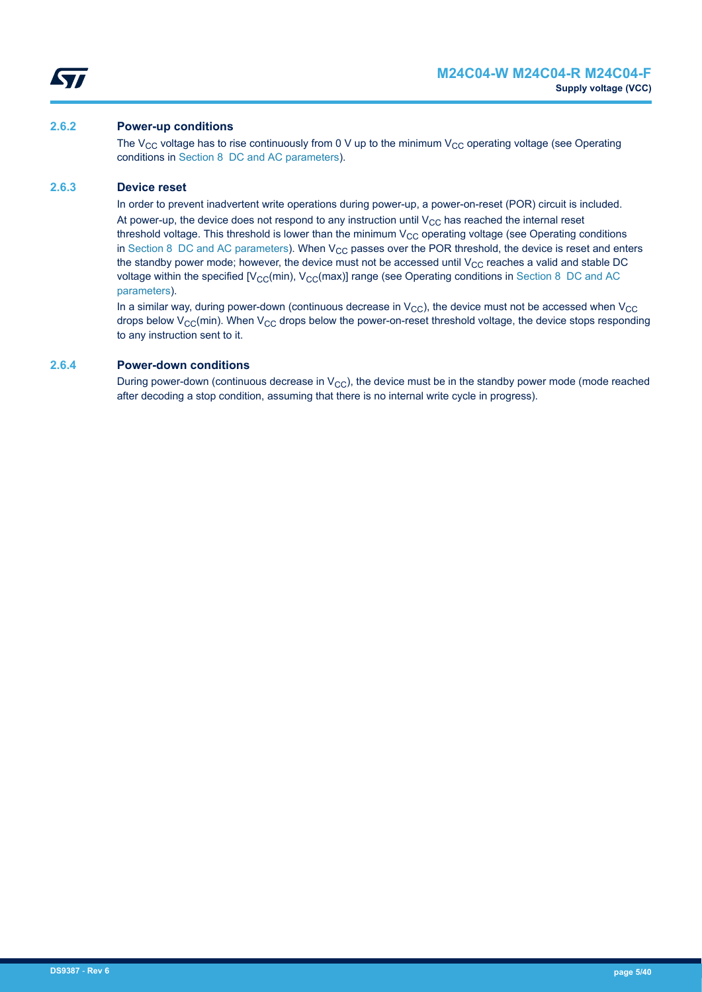<span id="page-4-0"></span>

#### **2.6.2 Power-up conditions**

The V<sub>CC</sub> voltage has to rise continuously from 0 V up to the minimum V<sub>CC</sub> operating voltage (see Operating conditions in [Section 8 DC and AC parameters\)](#page-17-0).

#### **2.6.3 Device reset**

In order to prevent inadvertent write operations during power-up, a power-on-reset (POR) circuit is included. At power-up, the device does not respond to any instruction until  $V_{CC}$  has reached the internal reset threshold voltage. This threshold is lower than the minimum  $V_{CC}$  operating voltage (see Operating conditions in [Section 8 DC and AC parameters\)](#page-17-0). When  $V_{CC}$  passes over the POR threshold, the device is reset and enters the standby power mode; however, the device must not be accessed until  $V_{CC}$  reaches a valid and stable DC voltage within the specified  $[V_{\text{CC}}(min), V_{\text{CC}}(max)]$  range (see Operating conditions in [Section 8 DC and AC](#page-17-0) [parameters\)](#page-17-0).

In a similar way, during power-down (continuous decrease in  $V_{\text{CC}}$ ), the device must not be accessed when  $V_{\text{CC}}$ drops below  $V_{CC}$ (min). When  $V_{CC}$  drops below the power-on-reset threshold voltage, the device stops responding to any instruction sent to it.

#### **2.6.4 Power-down conditions**

During power-down (continuous decrease in  $V_{CC}$ ), the device must be in the standby power mode (mode reached after decoding a stop condition, assuming that there is no internal write cycle in progress).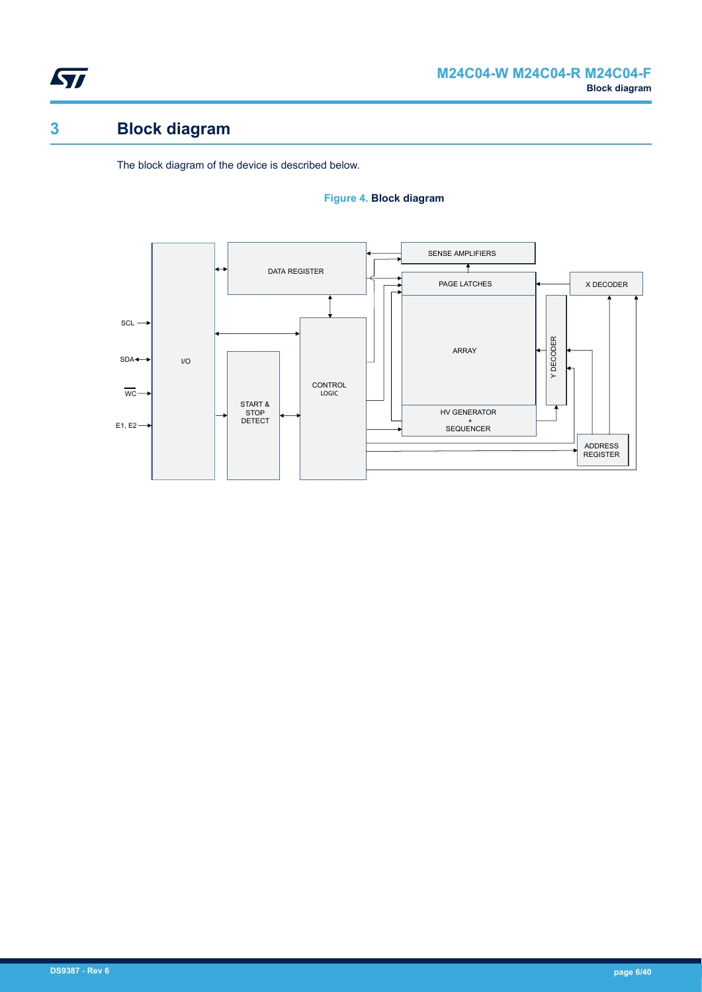<span id="page-5-0"></span>

# **3 Block diagram**

The block diagram of the device is described below.

#### **Figure 4. Block diagram**

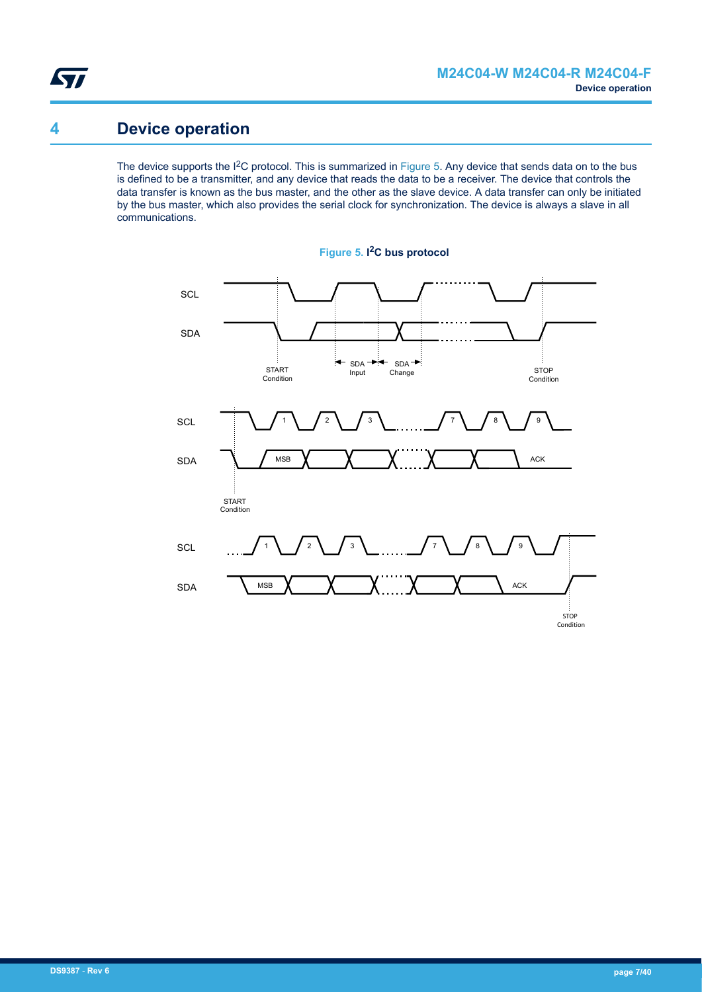<span id="page-6-0"></span>

## **4 Device operation**

The device supports the I<sup>2</sup>C protocol. This is summarized in Figure 5. Any device that sends data on to the bus is defined to be a transmitter, and any device that reads the data to be a receiver. The device that controls the data transfer is known as the bus master, and the other as the slave device. A data transfer can only be initiated by the bus master, which also provides the serial clock for synchronization. The device is always a slave in all communications.



**Figure 5. I <sup>2</sup>C bus protocol**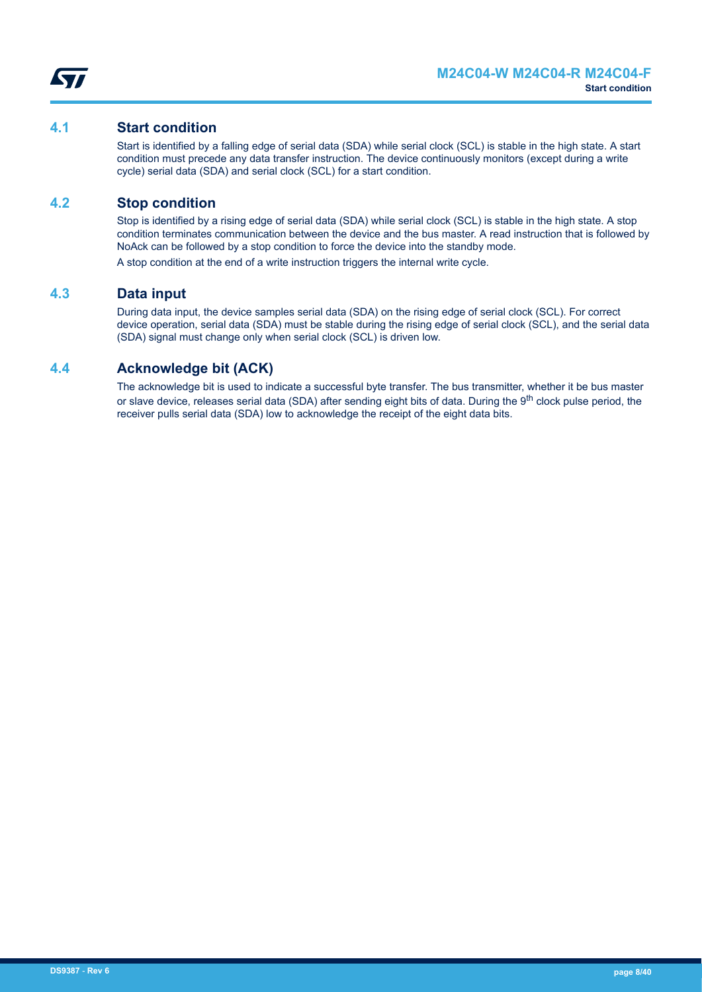

#### <span id="page-7-0"></span>**4.1 Start condition**

Start is identified by a falling edge of serial data (SDA) while serial clock (SCL) is stable in the high state. A start condition must precede any data transfer instruction. The device continuously monitors (except during a write cycle) serial data (SDA) and serial clock (SCL) for a start condition.

### **4.2 Stop condition**

Stop is identified by a rising edge of serial data (SDA) while serial clock (SCL) is stable in the high state. A stop condition terminates communication between the device and the bus master. A read instruction that is followed by NoAck can be followed by a stop condition to force the device into the standby mode.

A stop condition at the end of a write instruction triggers the internal write cycle.

#### **4.3 Data input**

During data input, the device samples serial data (SDA) on the rising edge of serial clock (SCL). For correct device operation, serial data (SDA) must be stable during the rising edge of serial clock (SCL), and the serial data (SDA) signal must change only when serial clock (SCL) is driven low.

### **4.4 Acknowledge bit (ACK)**

The acknowledge bit is used to indicate a successful byte transfer. The bus transmitter, whether it be bus master or slave device, releases serial data (SDA) after sending eight bits of data. During the 9<sup>th</sup> clock pulse period, the receiver pulls serial data (SDA) low to acknowledge the receipt of the eight data bits.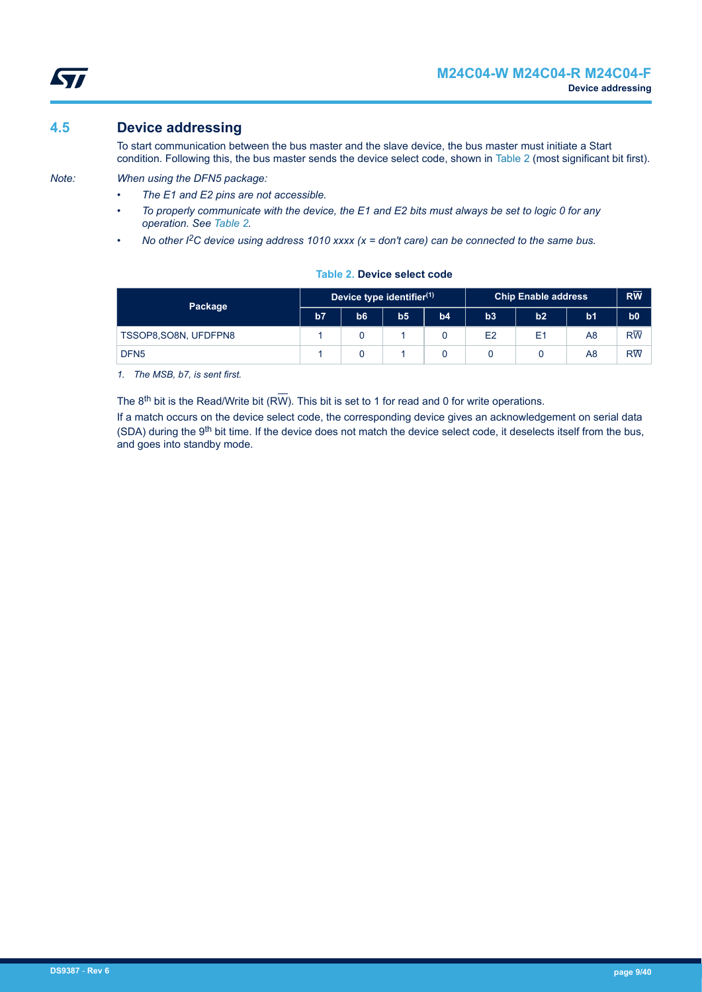## **4.5 Device addressing**

<span id="page-8-0"></span>ST

To start communication between the bus master and the slave device, the bus master must initiate a Start condition. Following this, the bus master sends the device select code, shown in Table 2 (most significant bit first).

*Note: When using the DFN5 package:*

- *The E1 and E2 pins are not accessible.*
- *To properly communicate with the device, the E1 and E2 bits must always be set to logic 0 for any operation. See Table 2.*
- *No other I2C device using address 1010 xxxx (x = don't care) can be connected to the same bus.*

| Package               | Device type identifier <sup>(1)</sup> |                |                |    | <b>Chip Enable address</b> |                |                | $R\overline{W}$ |
|-----------------------|---------------------------------------|----------------|----------------|----|----------------------------|----------------|----------------|-----------------|
|                       | b7                                    | b <sub>6</sub> | b <sub>5</sub> | b4 | b3                         | b2             | b <sub>1</sub> | b <sub>0</sub>  |
| TSSOP8, SO8N, UFDFPN8 |                                       |                |                |    | E2                         | E <sub>1</sub> | A8             | $R\overline{W}$ |
| DFN <sub>5</sub>      |                                       |                |                |    |                            |                | A8             | $R\overline{W}$ |

**Table 2. Device select code**

*1. The MSB, b7, is sent first.*

The  $8<sup>th</sup>$  bit is the Read/Write bit (RW). This bit is set to 1 for read and 0 for write operations.

If a match occurs on the device select code, the corresponding device gives an acknowledgement on serial data (SDA) during the 9<sup>th</sup> bit time. If the device does not match the device select code, it deselects itself from the bus, and goes into standby mode.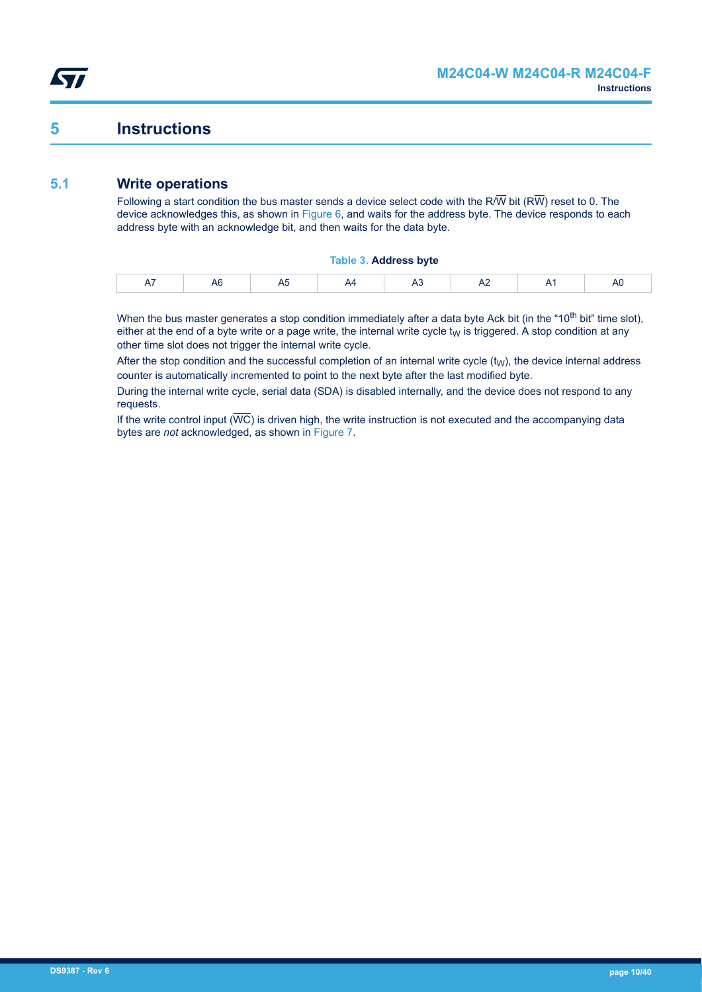## <span id="page-9-0"></span>**5 Instructions**

## **5.1 Write operations**

Following a start condition the bus master sends a device select code with the R/W bit (RW) reset to 0. The device acknowledges this, as shown in [Figure 6](#page-10-0), and waits for the address byte. The device responds to each address byte with an acknowledge bit, and then waits for the data byte.

#### **Table 3. Address byte**

When the bus master generates a stop condition immediately after a data byte Ack bit (in the "10<sup>th</sup> bit" time slot), either at the end of a byte write or a page write, the internal write cycle  $t<sub>W</sub>$  is triggered. A stop condition at any other time slot does not trigger the internal write cycle.

After the stop condition and the successful completion of an internal write cycle  $(t_W)$ , the device internal address counter is automatically incremented to point to the next byte after the last modified byte.

During the internal write cycle, serial data (SDA) is disabled internally, and the device does not respond to any requests.

If the write control input  $(\overline{WC})$  is driven high, the write instruction is not executed and the accompanying data bytes are *not* acknowledged, as shown in [Figure 7](#page-11-0).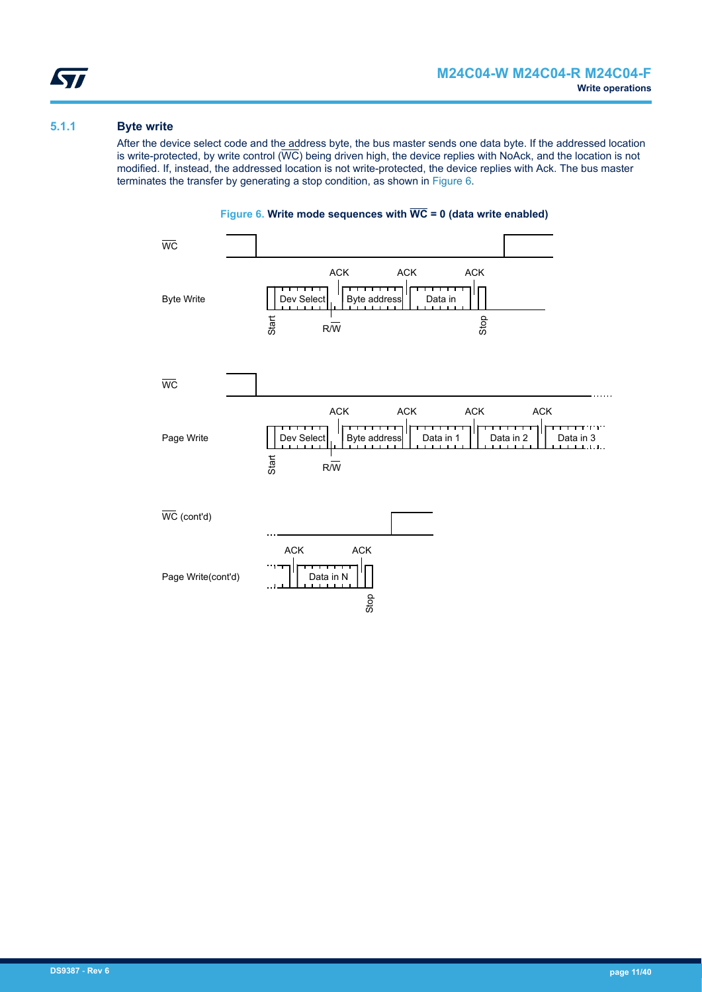#### <span id="page-10-0"></span>**5.1.1 Byte write**

After the device select code and the address byte, the bus master sends one data byte. If the addressed location is write-protected, by write control  $(\overline{WC})$  being driven high, the device replies with NoAck, and the location is not modified. If, instead, the addressed location is not write-protected, the device replies with Ack. The bus master terminates the transfer by generating a stop condition, as shown in Figure 6.



### **Figure 6. Write mode sequences with WC = 0 (data write enabled)**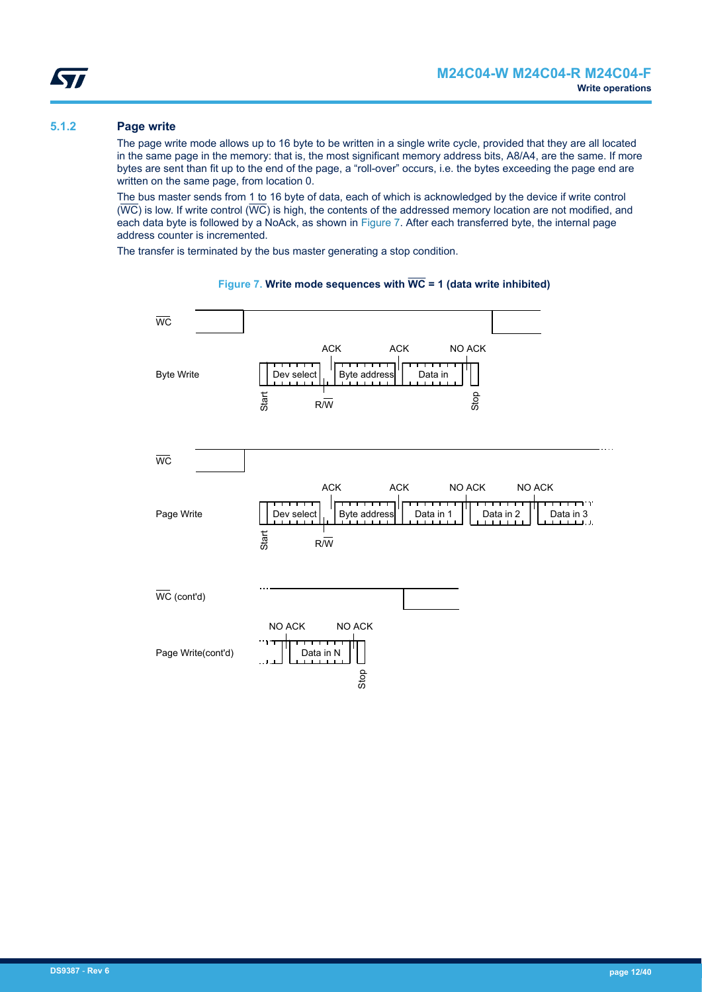#### <span id="page-11-0"></span>**5.1.2 Page write**

The page write mode allows up to 16 byte to be written in a single write cycle, provided that they are all located in the same page in the memory: that is, the most significant memory address bits, A8/A4, are the same. If more bytes are sent than fit up to the end of the page, a "roll-over" occurs, i.e. the bytes exceeding the page end are written on the same page, from location 0.

The bus master sends from 1 to 16 byte of data, each of which is acknowledged by the device if write control  $(\overline{WC})$  is low. If write control  $(\overline{WC})$  is high, the contents of the addressed memory location are not modified, and each data byte is followed by a NoAck, as shown in Figure 7. After each transferred byte, the internal page address counter is incremented.

The transfer is terminated by the bus master generating a stop condition.



#### **Figure 7. Write mode sequences with WC = 1 (data write inhibited)**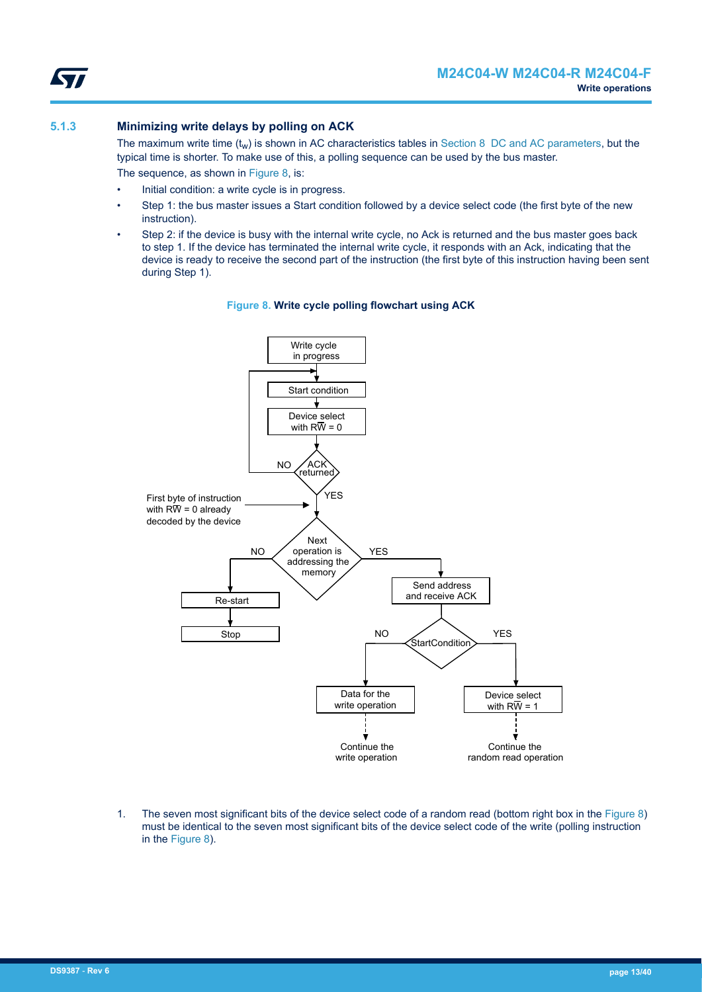<span id="page-12-0"></span>

#### **5.1.3 Minimizing write delays by polling on ACK**

The maximum write time  $(t_w)$  is shown in AC characteristics tables in [Section 8 DC and AC parameters](#page-17-0), but the typical time is shorter. To make use of this, a polling sequence can be used by the bus master.

The sequence, as shown in Figure 8, is:

- Initial condition: a write cycle is in progress.
- Step 1: the bus master issues a Start condition followed by a device select code (the first byte of the new instruction).
- Step 2: if the device is busy with the internal write cycle, no Ack is returned and the bus master goes back to step 1. If the device has terminated the internal write cycle, it responds with an Ack, indicating that the device is ready to receive the second part of the instruction (the first byte of this instruction having been sent during Step 1).



#### **Figure 8. Write cycle polling flowchart using ACK**

1. The seven most significant bits of the device select code of a random read (bottom right box in the Figure 8) must be identical to the seven most significant bits of the device select code of the write (polling instruction in the Figure 8).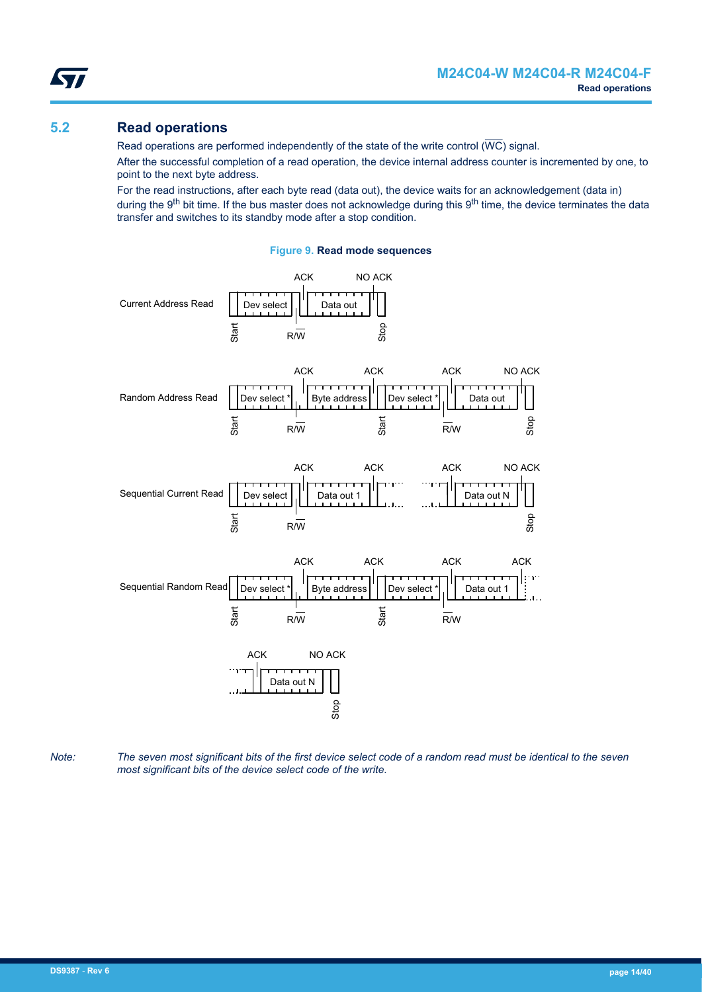

<span id="page-13-0"></span>57

Read operations are performed independently of the state of the write control ( $\overline{\text{WC}}$ ) signal.

After the successful completion of a read operation, the device internal address counter is incremented by one, to point to the next byte address.

For the read instructions, after each byte read (data out), the device waits for an acknowledgement (data in) during the 9<sup>th</sup> bit time. If the bus master does not acknowledge during this 9<sup>th</sup> time, the device terminates the data transfer and switches to its standby mode after a stop condition.





*Note: The seven most significant bits of the first device select code of a random read must be identical to the seven most significant bits of the device select code of the write.*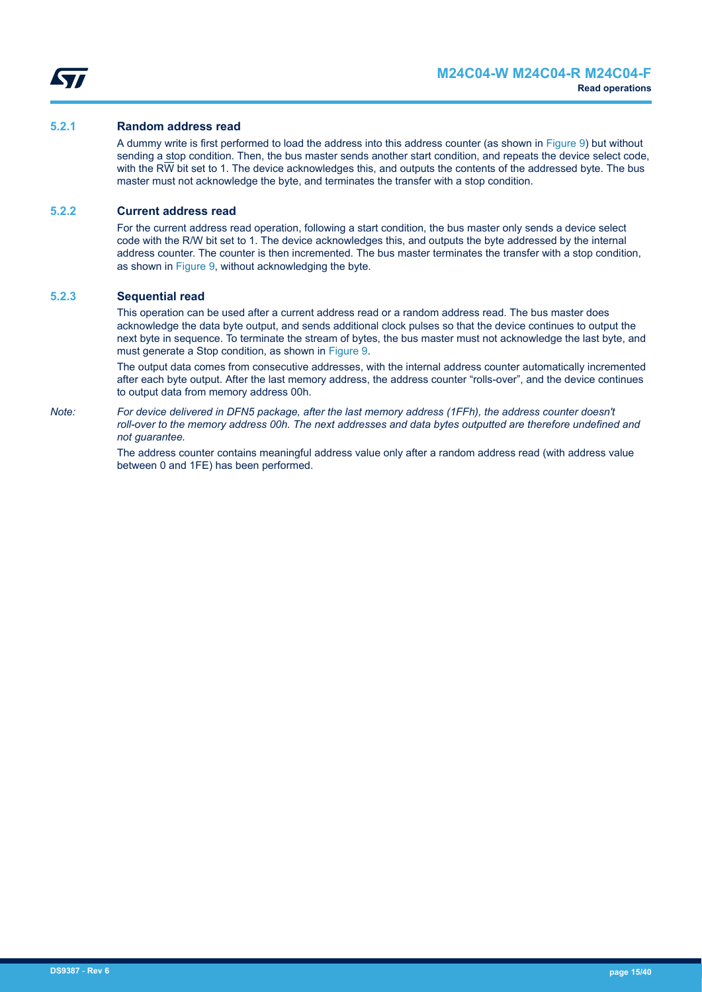<span id="page-14-0"></span>

#### **5.2.1 Random address read**

A dummy write is first performed to load the address into this address counter (as shown in [Figure 9](#page-13-0)) but without sending a stop condition. Then, the bus master sends another start condition, and repeats the device select code, with the R $\overline{W}$  bit set to 1. The device acknowledges this, and outputs the contents of the addressed byte. The bus master must not acknowledge the byte, and terminates the transfer with a stop condition.

#### **5.2.2 Current address read**

For the current address read operation, following a start condition, the bus master only sends a device select code with the R/W bit set to 1. The device acknowledges this, and outputs the byte addressed by the internal address counter. The counter is then incremented. The bus master terminates the transfer with a stop condition, as shown in [Figure 9](#page-13-0), without acknowledging the byte.

#### **5.2.3 Sequential read**

This operation can be used after a current address read or a random address read. The bus master does acknowledge the data byte output, and sends additional clock pulses so that the device continues to output the next byte in sequence. To terminate the stream of bytes, the bus master must not acknowledge the last byte, and must generate a Stop condition, as shown in [Figure 9.](#page-13-0)

The output data comes from consecutive addresses, with the internal address counter automatically incremented after each byte output. After the last memory address, the address counter "rolls-over", and the device continues to output data from memory address 00h.

*Note: For device delivered in DFN5 package, after the last memory address (1FFh), the address counter doesn't roll-over to the memory address 00h. The next addresses and data bytes outputted are therefore undefined and not guarantee.*

> The address counter contains meaningful address value only after a random address read (with address value between 0 and 1FE) has been performed.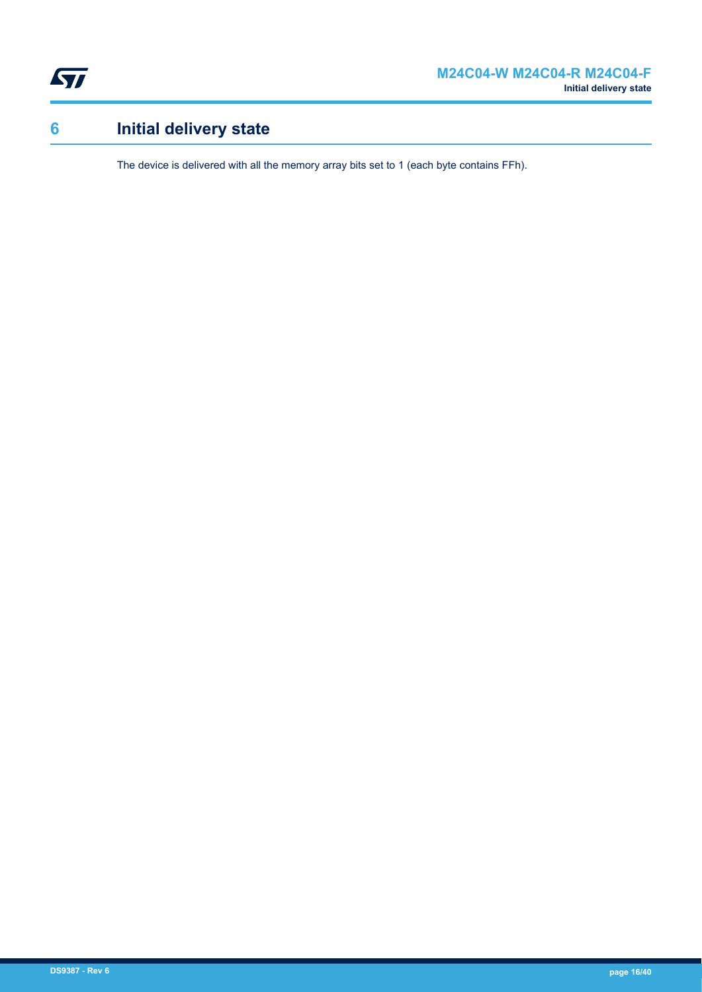<span id="page-15-0"></span>

# **6 Initial delivery state**

The device is delivered with all the memory array bits set to 1 (each byte contains FFh).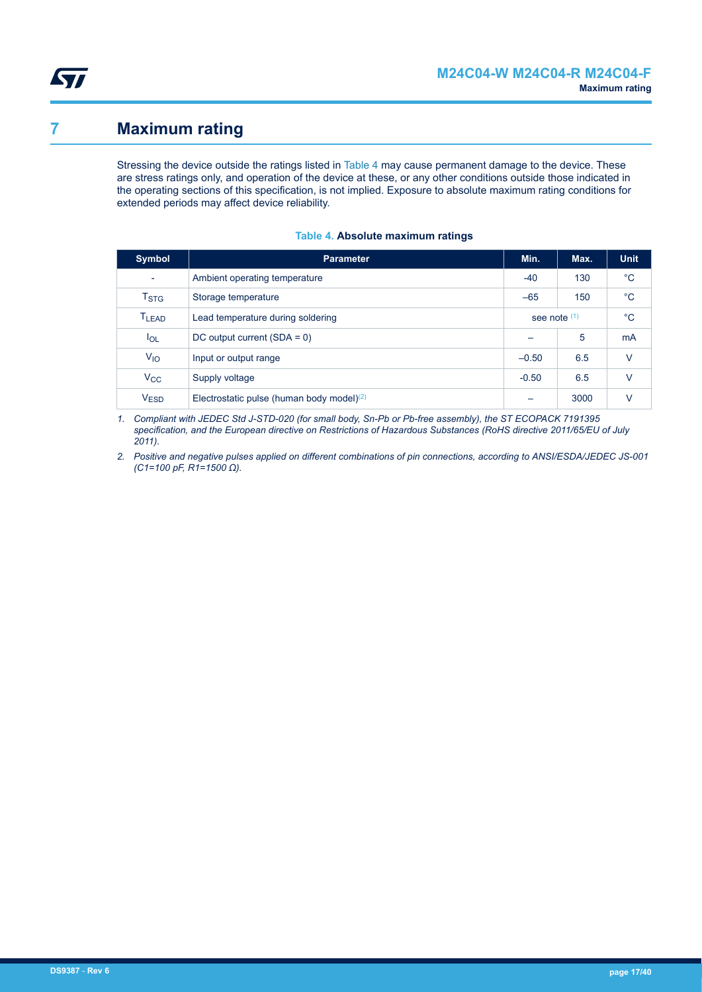<span id="page-16-0"></span>

## **7 Maximum rating**

Stressing the device outside the ratings listed in Table 4 may cause permanent damage to the device. These are stress ratings only, and operation of the device at these, or any other conditions outside those indicated in the operating sections of this specification, is not implied. Exposure to absolute maximum rating conditions for extended periods may affect device reliability.

| <b>Symbol</b>            | <b>Parameter</b>                             | Min.                     | Max. | <b>Unit</b>    |
|--------------------------|----------------------------------------------|--------------------------|------|----------------|
| $\overline{\phantom{0}}$ | Ambient operating temperature                | $-40$                    | 130  | $^{\circ}$ C   |
| T <sub>STG</sub>         | Storage temperature                          | $-65$                    | 150  | $^{\circ}C$    |
| <b>TLEAD</b>             | Lead temperature during soldering            | see note $(1)$           |      | $^{\circ}C$    |
| $I_{OL}$                 | DC output current $(SDA = 0)$                |                          | 5    | m <sub>A</sub> |
| $V_{IO}$                 | Input or output range                        | $-0.50$                  | 6.5  | $\vee$         |
| $V_{\rm CC}$             | Supply voltage                               | $-0.50$                  | 6.5  | $\vee$         |
| V <sub>ESD</sub>         | Electrostatic pulse (human body model) $(2)$ | $\overline{\phantom{0}}$ | 3000 | V              |

#### **Table 4. Absolute maximum ratings**

*1. Compliant with JEDEC Std J-STD-020 (for small body, Sn-Pb or Pb-free assembly), the ST ECOPACK 7191395 specification, and the European directive on Restrictions of Hazardous Substances (RoHS directive 2011/65/EU of July 2011).*

*2. Positive and negative pulses applied on different combinations of pin connections, according to ANSI/ESDA/JEDEC JS-001 (C1=100 pF, R1=1500 Ω).*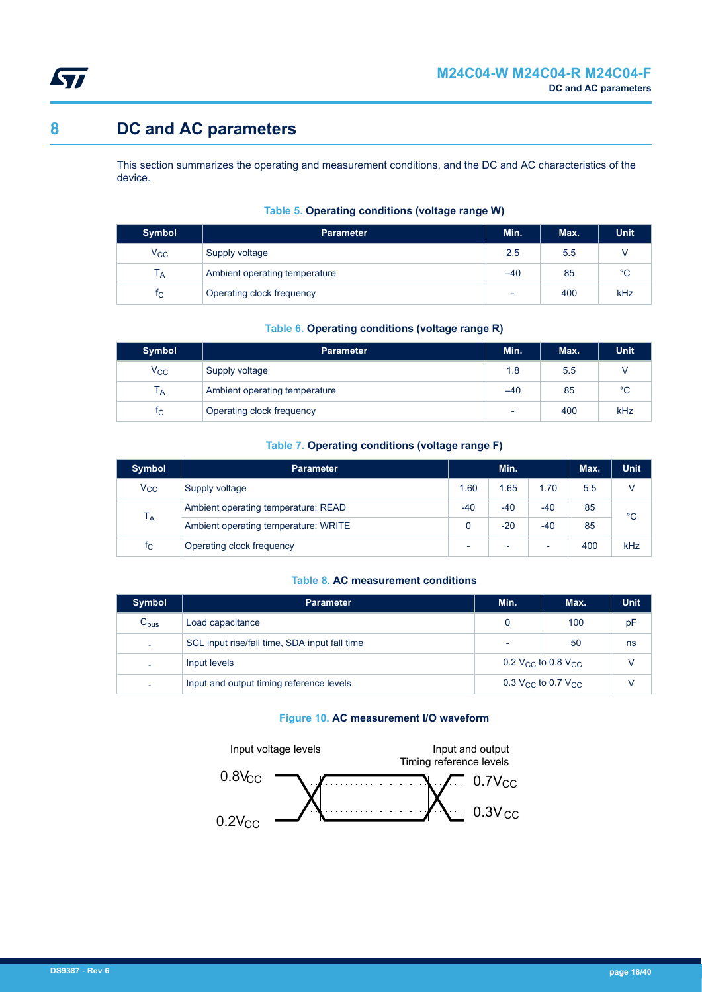<span id="page-17-0"></span>

## **8 DC and AC parameters**

This section summarizes the operating and measurement conditions, and the DC and AC characteristics of the device.

| <b>Symbol</b>             | <b>Parameter</b>              | Min.                     | Max. | <b>Unit</b> |
|---------------------------|-------------------------------|--------------------------|------|-------------|
| $V_{\rm CC}$              | Supply voltage                | 2.5                      | 5.5  |             |
| $\mathsf{I}_{\mathsf{A}}$ | Ambient operating temperature | $-40$                    | 85   | $^{\circ}C$ |
| TС                        | Operating clock frequency     | $\overline{\phantom{0}}$ | 400  | kHz         |

#### **Table 5. Operating conditions (voltage range W)**

#### **Table 6. Operating conditions (voltage range R)**

| <b>Symbol</b>  | <b>Parameter</b>              | Min.                     | Max. | <b>Unit</b> |
|----------------|-------------------------------|--------------------------|------|-------------|
| $V_{\rm CC}$   | Supply voltage                | 1.8                      | 5.5  |             |
| I д            | Ambient operating temperature | $-40$                    | 85   | $^{\circ}C$ |
| t <sub>C</sub> | Operating clock frequency     | $\overline{\phantom{0}}$ | 400  | kHz         |

#### **Table 7. Operating conditions (voltage range F)**

| <b>Symbol</b>  | <b>Parameter</b>                     |                          | Min.                     |       | Max. | <b>Unit</b> |
|----------------|--------------------------------------|--------------------------|--------------------------|-------|------|-------------|
| $V_{\rm CC}$   | Supply voltage                       | 1.60                     | 1.65                     | 1.70  | 5.5  |             |
| $T_A$          | Ambient operating temperature: READ  | $-40$                    | $-40$                    | $-40$ | 85   | $^{\circ}C$ |
|                | Ambient operating temperature: WRITE |                          | $-20$                    | $-40$ | 85   |             |
| t <sub>C</sub> | Operating clock frequency            | $\overline{\phantom{0}}$ | $\overline{\phantom{a}}$ | ۰     | 400  | kHz         |

#### **Table 8. AC measurement conditions**

| <b>Symbol</b> | <b>Parameter</b>                              | Min.                                       | Max.                                       | <b>Unit</b> |
|---------------|-----------------------------------------------|--------------------------------------------|--------------------------------------------|-------------|
| $C_{bus}$     | Load capacitance                              | 0                                          | 100                                        | pF          |
| ٠             | SCL input rise/fall time, SDA input fall time | ٠                                          | 50                                         | ns          |
| ۰             | Input levels                                  | 0.2 V <sub>CC</sub> to 0.8 V <sub>CC</sub> |                                            | V           |
| ۰             | Input and output timing reference levels      |                                            | 0.3 V <sub>CC</sub> to 0.7 V <sub>CC</sub> |             |

#### **Figure 10. AC measurement I/O waveform**

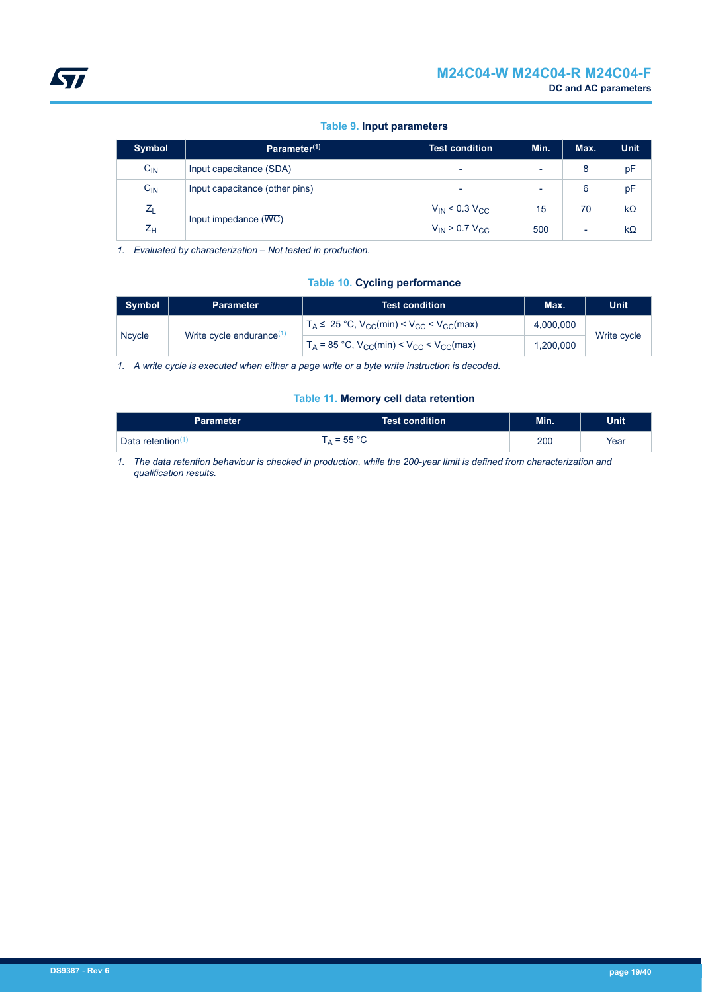#### **Table 9. Input parameters**

<span id="page-18-0"></span>

| <b>Symbol</b>   | Parameter <sup>(1)</sup>       | <b>Test condition</b>                 | Min. | Max.                     | <b>Unit</b> |
|-----------------|--------------------------------|---------------------------------------|------|--------------------------|-------------|
| $C_{\text{IN}}$ | Input capacitance (SDA)        |                                       |      | 8                        | pF          |
| $C_{IN}$        | Input capacitance (other pins) |                                       |      | 6                        | pF          |
| $Z_L$           |                                | $V_{\text{IN}}$ < 0.3 $V_{\text{CC}}$ | 15   | 70                       | $k\Omega$   |
| $Z_{H}$         | Input impedance $(WC)$         | $V_{IN}$ > 0.7 $V_{CC}$               | 500  | $\overline{\phantom{0}}$ | $k\Omega$   |

*1. Evaluated by characterization – Not tested in production.*

#### **Table 10. Cycling performance**

| Symbol        | <b>Parameter</b>                     | <b>Test condition</b>                                  | Max.      | Unit        |  |
|---------------|--------------------------------------|--------------------------------------------------------|-----------|-------------|--|
| <b>Ncycle</b> |                                      | $T_A \leq 25$ °C, $V_{CC}(min) < V_{CC} < V_{CC}(max)$ | 4,000,000 |             |  |
|               | Write cycle endurance <sup>(1)</sup> | $T_A$ = 85 °C, $V_{CC}(min) < V_{CC} < V_{CC}(max)$    | 1.200.000 | Write cycle |  |

*1. A write cycle is executed when either a page write or a byte write instruction is decoded.*

#### **Table 11. Memory cell data retention**

| Parameter ˈ                        | Test condition     | Min. | <b>Unit</b> |
|------------------------------------|--------------------|------|-------------|
| <b>Data retention</b> <sup>C</sup> | $_{\rm A}$ = 55 °C | 200  | Year        |

*1. The data retention behaviour is checked in production, while the 200-year limit is defined from characterization and qualification results.*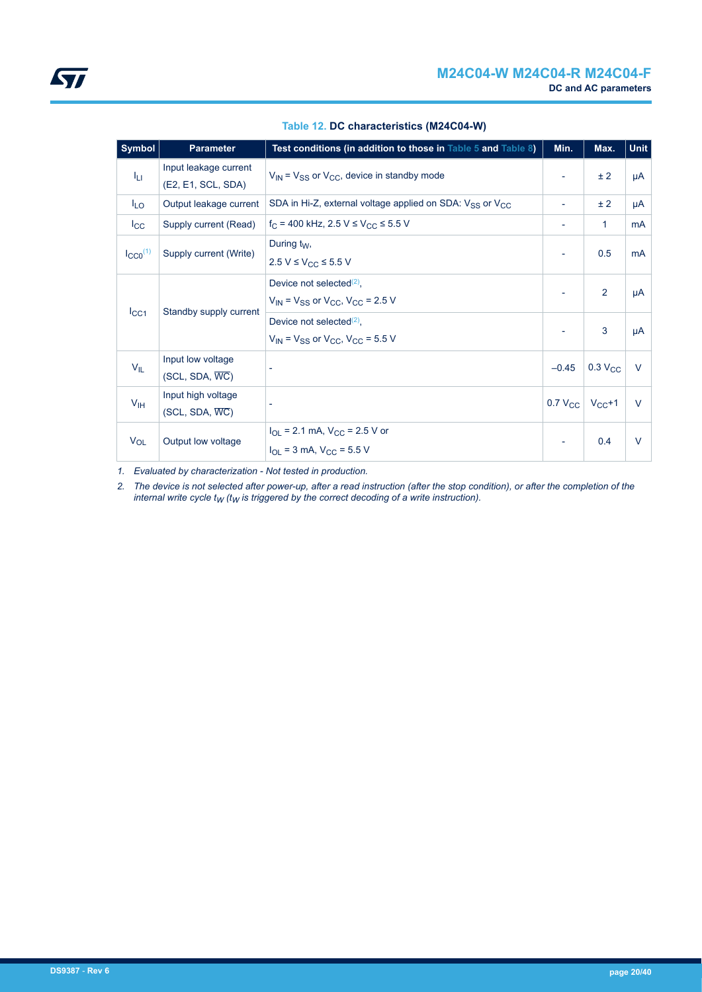<span id="page-19-0"></span>

| Symbol                | <b>Parameter</b>                                  | Test conditions (in addition to those in Table 5 and Table 8)                             | Min.                     | Max.                  | Unit           |
|-----------------------|---------------------------------------------------|-------------------------------------------------------------------------------------------|--------------------------|-----------------------|----------------|
| Īц                    | Input leakage current<br>(E2, E1, SCL, SDA)       | $V_{IN}$ = $V_{SS}$ or $V_{CC}$ , device in standby mode                                  |                          | ± 2                   | μA             |
| $I_{LO}$              | Output leakage current                            | SDA in Hi-Z, external voltage applied on SDA: $V_{SS}$ or $V_{CC}$                        | $\overline{\phantom{a}}$ | ± 2                   | μA             |
| $I_{\rm CC}$          | Supply current (Read)                             | $f_C$ = 400 kHz, 2.5 V ≤ V <sub>CC</sub> ≤ 5.5 V                                          | ۰                        | 1                     | m <sub>A</sub> |
| $I_{CC0}^{(1)}$       | Supply current (Write)                            | During $t_W$ ,<br>2.5 V ≤ V <sub>CC</sub> ≤ 5.5 V                                         | ٠                        | 0.5                   | <b>mA</b>      |
|                       |                                                   | Device not selected $(2)$ ,<br>$V_{IN}$ = $V_{SS}$ or $V_{CC}$ , $V_{CC}$ = 2.5 V         |                          | 2                     | μA             |
| $I_{\rm CC1}$         | Standby supply current                            | Device not selected $(2)$ ,<br>$V_{IN}$ = $V_{SS}$ or $V_{CC}$ , $V_{CC}$ = 5.5 V         |                          | 3                     | μA             |
| $V_{IL}$              | Input low voltage<br>$(SCL, SDA, \overline{WC})$  |                                                                                           | $-0.45$                  | $0.3$ V <sub>CC</sub> | $\vee$         |
| V <sub>IH</sub>       | Input high voltage<br>$(SCL, SDA, \overline{WC})$ |                                                                                           | $0.7 V_{CC}$             | $V_{CC}+1$            | $\vee$         |
| <b>V<sub>OL</sub></b> | Output low voltage                                | $I_{OL}$ = 2.1 mA, $V_{CC}$ = 2.5 V or<br>$I_{\text{OI}}$ = 3 mA, $V_{\text{CC}}$ = 5.5 V | $\overline{\phantom{a}}$ | 0.4                   | $\vee$         |

**Table 12. DC characteristics (M24C04-W)**

*1. Evaluated by characterization - Not tested in production.*

*2. The device is not selected after power-up, after a read instruction (after the stop condition), or after the completion of the internal write cycle tW (tW is triggered by the correct decoding of a write instruction).*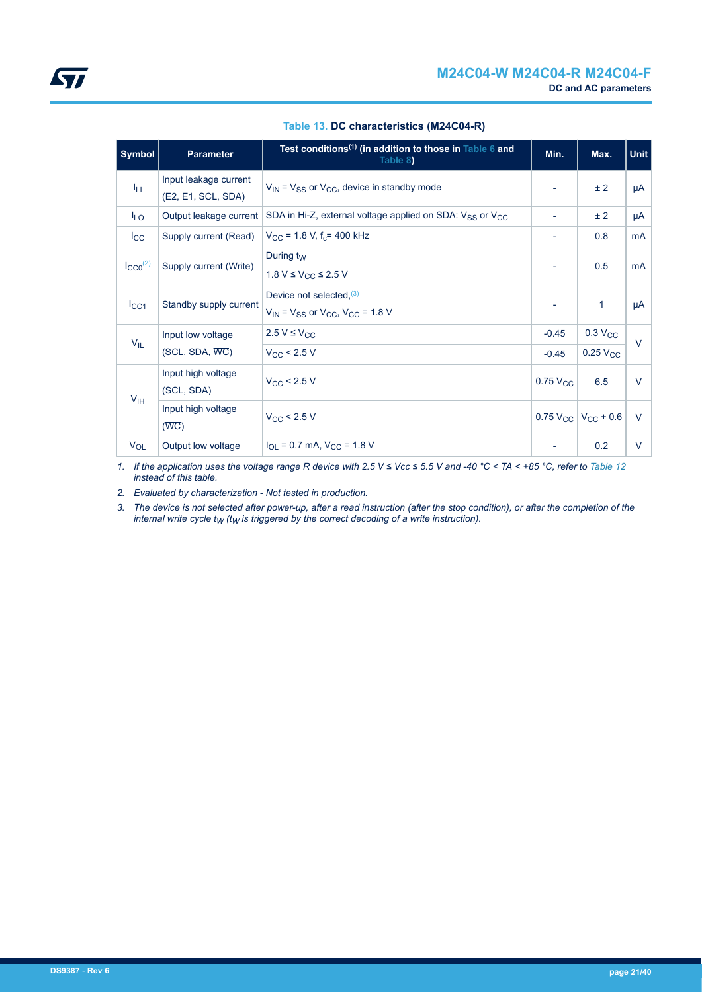<span id="page-20-0"></span>

| <b>Symbol</b>   | <b>Parameter</b>                | Test conditions <sup>(1)</sup> (in addition to those in Table 6 and<br>Table 8) | Min.                     | Max.                                           | <b>Unit</b> |
|-----------------|---------------------------------|---------------------------------------------------------------------------------|--------------------------|------------------------------------------------|-------------|
| Īц              | Input leakage current           | $V_{IN}$ = $V_{SS}$ or $V_{CC}$ , device in standby mode                        | $\overline{\phantom{a}}$ | ± 2                                            | μA          |
|                 | (E2, E1, SCL, SDA)              |                                                                                 |                          |                                                |             |
| <sup>I</sup> LO | Output leakage current          | SDA in Hi-Z, external voltage applied on SDA: $V_{SS}$ or $V_{CC}$              |                          | ± 2                                            | μA          |
| $_{\rm lcc}$    | Supply current (Read)           | $V_{CC}$ = 1.8 V, f <sub>c</sub> = 400 kHz                                      | $\overline{\phantom{a}}$ | 0.8                                            | mA          |
| $I_{CCO}^{(2)}$ | Supply current (Write)          | During $t_W$                                                                    | $\overline{\phantom{a}}$ | 0.5                                            | mA          |
|                 | 1.8 V ≤ V <sub>CC</sub> ≤ 2.5 V |                                                                                 |                          |                                                |             |
| $I_{\rm CC1}$   | Standby supply current          | Device not selected, $(3)$                                                      | $\overline{\phantom{a}}$ | $\mathbf{1}$                                   | μA          |
|                 |                                 | $V_{IN}$ = $V_{SS}$ or $V_{CC}$ , $V_{CC}$ = 1.8 V                              |                          |                                                |             |
| $V_{IL}$        | Input low voltage               | $2.5 V \leq V_{CC}$                                                             | $-0.45$                  | $0.3 V_{CC}$                                   | $\vee$      |
|                 | $(SCL, SDA, \overline{WC})$     | $V_{CC}$ < 2.5 V                                                                | $-0.45$                  | $0.25$ $V_{CC}$                                |             |
|                 | Input high voltage              | $V_{CC}$ < 2.5 V                                                                | $0.75$ $V_{CC}$          | 6.5                                            | $\vee$      |
| V <sub>IH</sub> | (SCL, SDA)                      |                                                                                 |                          |                                                |             |
|                 | Input high voltage              | $V_{\rm CC}$ < 2.5 V                                                            |                          | $0.75$ V <sub>CC</sub>   V <sub>CC</sub> + 0.6 | $\vee$      |
|                 | $(\overline{WC})$               |                                                                                 |                          |                                                |             |
| $V_{OL}$        | Output low voltage              | $I_{\text{OL}}$ = 0.7 mA, $V_{\text{CC}}$ = 1.8 V                               |                          | 0.2                                            | V           |

#### **Table 13. DC characteristics (M24C04-R)**

*1.* If the application uses the voltage range R device with 2.5 V ≤ Vcc ≤ 5.5 V and -40 °C < TA < +85 °C, refer to [Table 12](#page-19-0) *instead of this table.*

*2. Evaluated by characterization - Not tested in production.*

*3. The device is not selected after power-up, after a read instruction (after the stop condition), or after the completion of the internal write cycle tW (tW is triggered by the correct decoding of a write instruction).*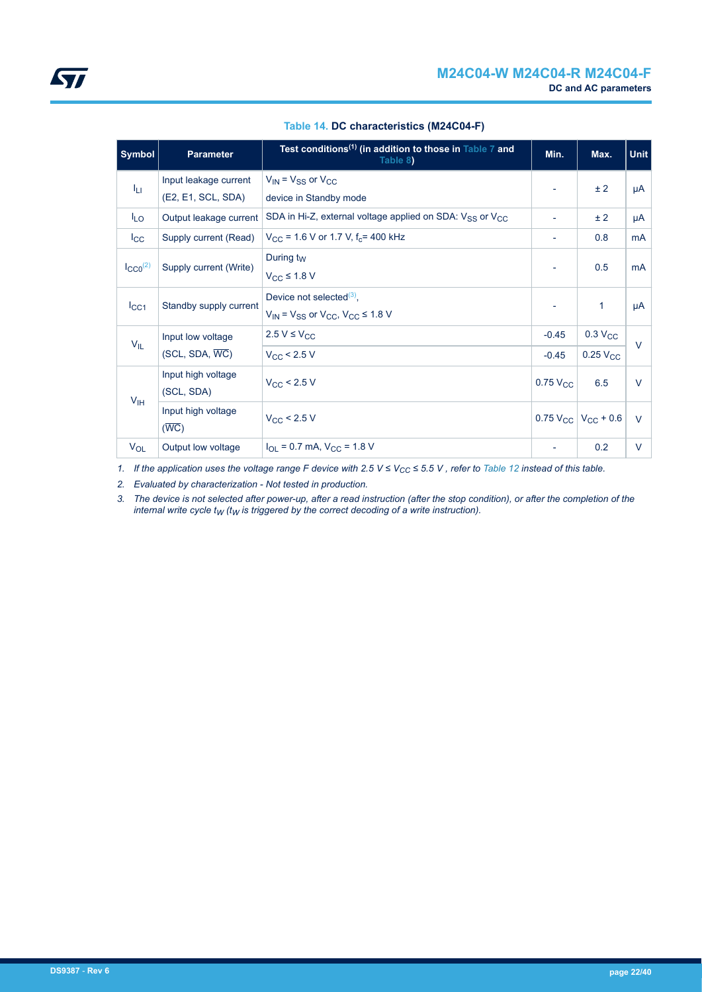<span id="page-21-0"></span>

| <b>Symbol</b>       | <b>Parameter</b>                 | Test conditions <sup>(1)</sup> (in addition to those in Table 7 and<br>Table 8)        | Min.                     | Max.                                           | <b>Unit</b> |
|---------------------|----------------------------------|----------------------------------------------------------------------------------------|--------------------------|------------------------------------------------|-------------|
|                     | Input leakage current            | $V_{IN}$ = $V_{SS}$ or $V_{CC}$                                                        |                          | ± 2                                            | μA          |
| ĪЦ                  | (E2, E1, SCL, SDA)               | device in Standby mode                                                                 | $\overline{\phantom{a}}$ |                                                |             |
| $I_{LO}$            | Output leakage current           | SDA in Hi-Z, external voltage applied on SDA: $V_{SS}$ or $V_{CC}$                     | ٠                        | ± 2                                            | μA          |
| $I_{\rm CC}$        | Supply current (Read)            | $V_{\rm CC}$ = 1.6 V or 1.7 V, f <sub>c</sub> = 400 kHz                                | ٠                        | 0.8                                            | <b>mA</b>   |
| $\text{LCCO}^{(2)}$ | Supply current (Write)           | During $t_W$                                                                           | $\overline{\phantom{a}}$ | 0.5                                            | <b>mA</b>   |
|                     |                                  | $V_{CC}$ ≤ 1.8 V                                                                       |                          |                                                |             |
| $I_{\rm CC1}$       | Standby supply current           | Device not selected $(3)$ ,<br>$V_{IN}$ = $V_{SS}$ or $V_{CC}$ , $V_{CC}$ $\leq$ 1.8 V | $\overline{\phantom{a}}$ | $\mathbf{1}$                                   | μA          |
|                     | Input low voltage                | $2.5 V \leq V_{CC}$                                                                    | $-0.45$                  | 0.3 V <sub>CC</sub>                            |             |
| $V_{IL}$            | $(SCL, SDA, \overline{WC})$      | $V_{CC}$ < 2.5 V                                                                       | $-0.45$                  | $0.25$ $V_{CC}$                                | $\vee$      |
| V <sub>IH</sub>     | Input high voltage<br>(SCL, SDA) | $V_{\rm CC}$ < 2.5 V                                                                   | $0.75$ $V_{CC}$          | 6.5                                            | V           |
|                     | Input high voltage<br>(WC)       | $V_{\rm CC}$ < 2.5 V                                                                   |                          | $0.75$ V <sub>CC</sub>   V <sub>CC</sub> + 0.6 | $\vee$      |
| $V_{OL}$            | Output low voltage               | $I_{\text{O}}$ = 0.7 mA, $V_{\text{CC}}$ = 1.8 V                                       | ۰                        | 0.2                                            | V           |

#### **Table 14. DC characteristics (M24C04-F)**

*1. If the application uses the voltage range F device with 2.5 V ≤ VCC ≤ 5.5 V , refer to [Table 12](#page-19-0) instead of this table.*

*2. Evaluated by characterization - Not tested in production.*

*3. The device is not selected after power-up, after a read instruction (after the stop condition), or after the completion of the internal write cycle tW (tW is triggered by the correct decoding of a write instruction).*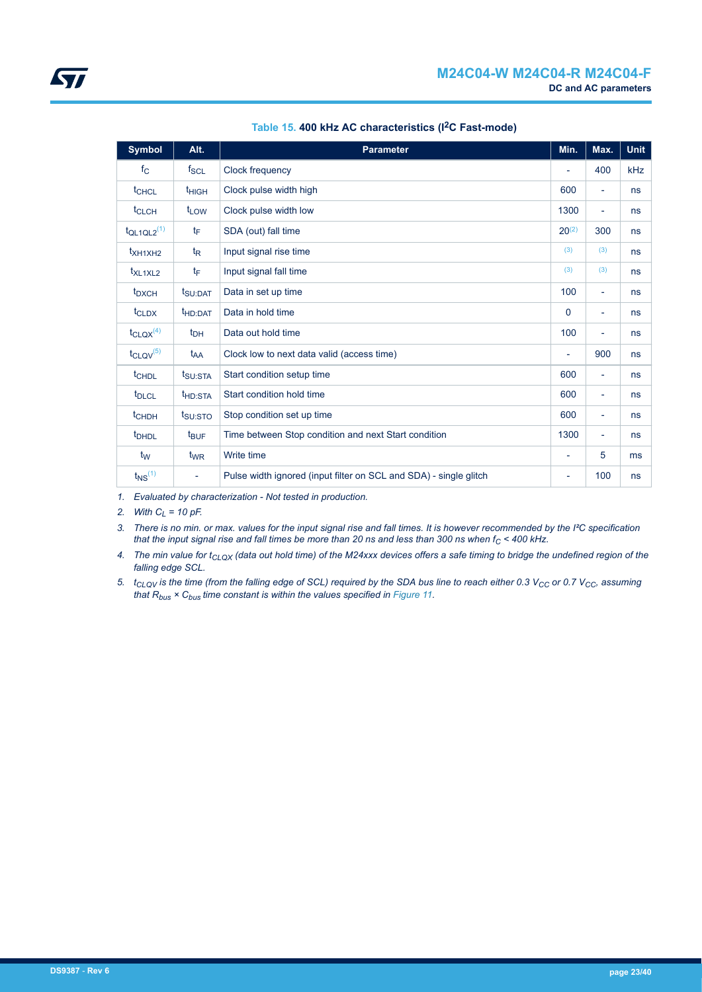<span id="page-22-0"></span>

| <b>Symbol</b>               | Alt.                     | <b>Parameter</b>                                                  | Min.                     | Max.                     | <b>Unit</b> |
|-----------------------------|--------------------------|-------------------------------------------------------------------|--------------------------|--------------------------|-------------|
| $f_{\rm C}$                 | $f_{SCL}$                | Clock frequency                                                   |                          | 400                      | kHz         |
| <sup>t</sup> CHCL           | t <sub>HIGH</sub>        | Clock pulse width high                                            | 600                      | $\overline{\phantom{a}}$ | ns          |
| t <sub>CLCH</sub>           | t <sub>LOW</sub>         | Clock pulse width low                                             | 1300                     | $\overline{\phantom{a}}$ | ns          |
| $t_{QL1QL2}$ <sup>(1)</sup> | tF                       | SDA (out) fall time                                               | $20^{(2)}$               | 300                      | ns          |
| $t_{XH1XH2}$                | $t_{\mathsf{R}}$         | Input signal rise time                                            | (3)                      | (3)                      | ns          |
| $t_{XL1XL2}$                | tF                       | Input signal fall time                                            | (3)                      | (3)                      | ns          |
| t <sub>DXCH</sub>           | t <sub>SU:DAT</sub>      | Data in set up time                                               | 100                      | $\overline{\phantom{a}}$ | ns          |
| $t_{CLDX}$                  | t <sub>HD:DAT</sub>      | Data in hold time                                                 | 0                        | $\overline{\phantom{a}}$ | ns          |
| $t_{CLQX}$ <sup>(4)</sup>   | $t_{DH}$                 | Data out hold time                                                | 100                      | $\overline{\phantom{a}}$ | ns          |
| $t_{CLQV}$ <sup>(5)</sup>   | t <sub>AA</sub>          | Clock low to next data valid (access time)                        | ٠                        | 900                      | ns          |
| t <sub>CHDL</sub>           | t <sub>SU:STA</sub>      | Start condition setup time                                        | 600                      | $\overline{\phantom{a}}$ | ns          |
| t <sub>DLCL</sub>           | t <sub>HD:STA</sub>      | Start condition hold time                                         | 600                      | $\overline{\phantom{a}}$ | ns          |
| $t$ <sub>CHDH</sub>         | t <sub>SU:STO</sub>      | Stop condition set up time                                        | 600                      | $\overline{\phantom{a}}$ | ns          |
| <b>t</b> <sub>DHDL</sub>    | $t_{\text{BUF}}$         | Time between Stop condition and next Start condition              | 1300                     | $\overline{\phantom{a}}$ | ns          |
| t <sub>w</sub>              | $t_{WR}$                 | Write time                                                        | ÷                        | 5                        | ms          |
| $t_{NS}$ <sup>(1)</sup>     | $\overline{\phantom{a}}$ | Pulse width ignored (input filter on SCL and SDA) - single glitch | $\overline{\phantom{a}}$ | 100                      | ns          |

#### **Table 15. 400 kHz AC characteristics (I2C Fast-mode)**

*1. Evaluated by characterization - Not tested in production.*

*2. With CL = 10 pF.*

*3. There is no min. or max. values for the input signal rise and fall times. It is however recommended by the I²C specification that the input signal rise and fall times be more than 20 ns and less than 300 ns when fC < 400 kHz.*

*4. The min value for tCLQX (data out hold time) of the M24xxx devices offers a safe timing to bridge the undefined region of the falling edge SCL.*

*5. tCLQV is the time (from the falling edge of SCL) required by the SDA bus line to reach either 0.3 VCC or 0.7 VCC, assuming that Rbus × Cbus time constant is within the values specified in [Figure 11.](#page-24-0)*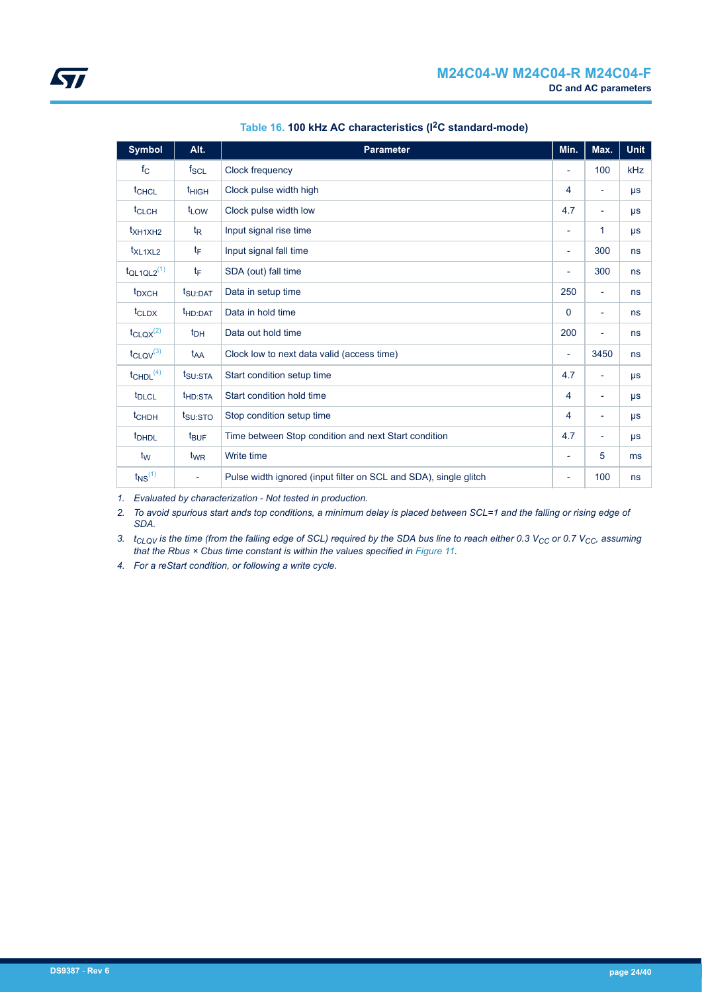<span id="page-23-0"></span>

| <b>Symbol</b>               | Alt.                     | <b>Parameter</b>                                                 | Min.                     | Max.                     | <b>Unit</b> |
|-----------------------------|--------------------------|------------------------------------------------------------------|--------------------------|--------------------------|-------------|
| $f_{\rm C}$                 | $f_{SCL}$                | Clock frequency                                                  | $\overline{a}$           | 100                      | kHz         |
| t <sub>CHCL</sub>           | t <sub>HIGH</sub>        | Clock pulse width high                                           | 4                        | $\overline{\phantom{a}}$ | $\mu s$     |
| t <sub>CLCH</sub>           | t <sub>LOW</sub>         | Clock pulse width low                                            | 4.7                      | $\overline{\phantom{a}}$ | $\mu s$     |
| $t_{XH1XH2}$                | $t_{\mathsf{R}}$         | Input signal rise time                                           | ÷,                       | 1                        | $\mu s$     |
| t <sub>XL1XL2</sub>         | $t_{\mathsf{F}}$         | Input signal fall time                                           | ٠                        | 300                      | ns          |
| $t_{QL1QL2}$ <sup>(1)</sup> | tF                       | SDA (out) fall time                                              | ÷,                       | 300                      | ns          |
| t <sub>DXCH</sub>           | t <sub>SU:DAT</sub>      | Data in setup time                                               | 250                      | $\overline{\phantom{a}}$ | ns          |
| t <sub>CLDX</sub>           | t <sub>HD:DAT</sub>      | Data in hold time                                                | 0                        | ٠                        | ns          |
| $t_{\text{CLQX}}^{(2)}$     | $t_{DH}$                 | Data out hold time                                               | 200                      | $\overline{\phantom{0}}$ | ns          |
| $t_{CLQV}^{(3)}$            | t <sub>AA</sub>          | Clock low to next data valid (access time)                       | ÷,                       | 3450                     | ns          |
| $t$ CHDL $(4)$              | t <sub>SU:STA</sub>      | Start condition setup time                                       | 4.7                      | $\overline{\phantom{a}}$ | $\mu s$     |
| t <sub>DLCL</sub>           | t <sub>HD:STA</sub>      | Start condition hold time                                        | 4                        | $\overline{\phantom{a}}$ | $\mu s$     |
| $t$ <sub>CHDH</sub>         | t <sub>SU:STO</sub>      | Stop condition setup time                                        | 4                        | ۰                        | $\mu s$     |
| t <sub>DHDL</sub>           | t <sub>BUF</sub>         | Time between Stop condition and next Start condition             | 4.7                      | ٠                        | $\mu s$     |
| $t_{\mathsf{W}}$            | t <sub>WR</sub>          | Write time                                                       | $\overline{\phantom{0}}$ | 5                        | ms          |
| $t_{NS}$ <sup>(1)</sup>     | $\overline{\phantom{a}}$ | Pulse width ignored (input filter on SCL and SDA), single glitch | ÷,                       | 100                      | ns          |

## **Table 16. 100 kHz AC characteristics (I2C standard-mode)**

*1. Evaluated by characterization - Not tested in production.*

*2. To avoid spurious start ands top conditions, a minimum delay is placed between SCL=1 and the falling or rising edge of SDA.*

*3. tCLQV is the time (from the falling edge of SCL) required by the SDA bus line to reach either 0.3 VCC or 0.7 VCC, assuming that the Rbus × Cbus time constant is within the values specified in [Figure 11.](#page-24-0)*

*4. For a reStart condition, or following a write cycle.*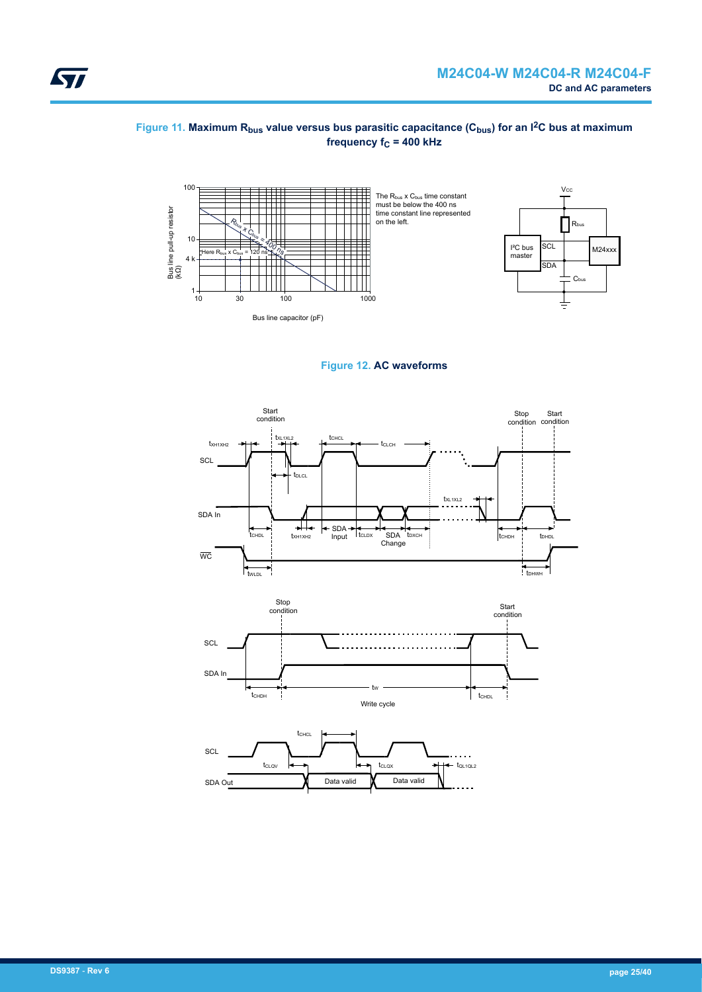#### <span id="page-24-0"></span>**Figure 11. Maximum Rbus value versus bus parasitic capacitance (Cbus) for an I2C bus at maximum frequency f<sub>C</sub> = 400 kHz**





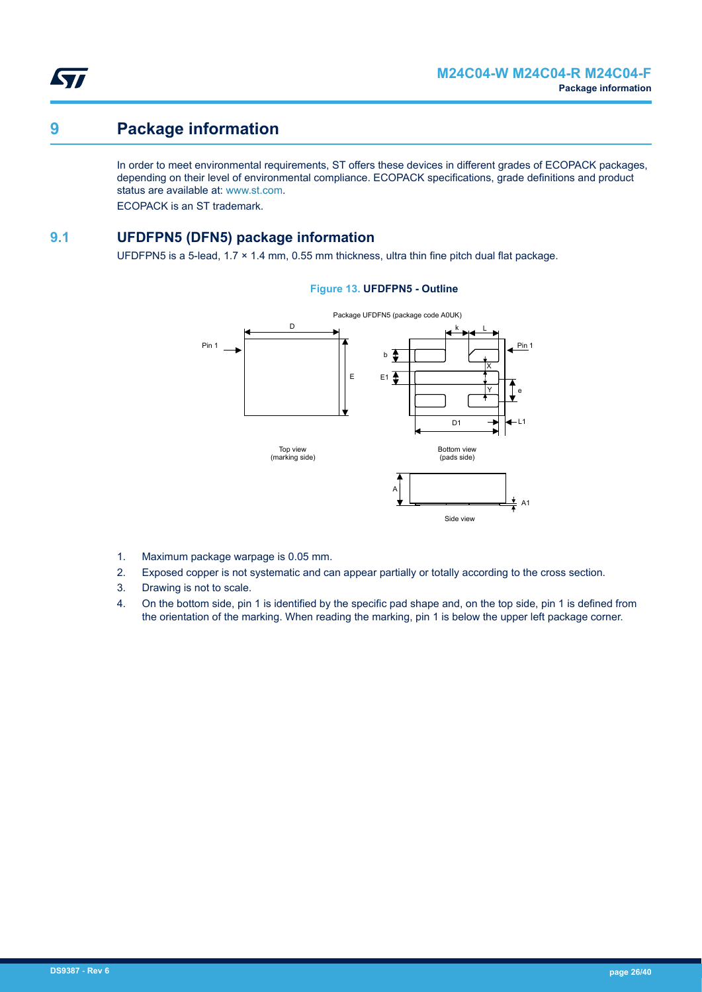<span id="page-25-0"></span>

## **9 Package information**

In order to meet environmental requirements, ST offers these devices in different grades of ECOPACK packages, depending on their level of environmental compliance. ECOPACK specifications, grade definitions and product status are available at: [www.st.com.](https://www.st.com)

ECOPACK is an ST trademark.

## **9.1 UFDFPN5 (DFN5) package information**

UFDFPN5 is a 5-lead,  $1.7 \times 1.4$  mm, 0.55 mm thickness, ultra thin fine pitch dual flat package.

#### **Figure 13. UFDFPN5 - Outline**



- 1. Maximum package warpage is 0.05 mm.
- 2. Exposed copper is not systematic and can appear partially or totally according to the cross section.
- 3. Drawing is not to scale.
- 4. On the bottom side, pin 1 is identified by the specific pad shape and, on the top side, pin 1 is defined from the orientation of the marking. When reading the marking, pin 1 is below the upper left package corner.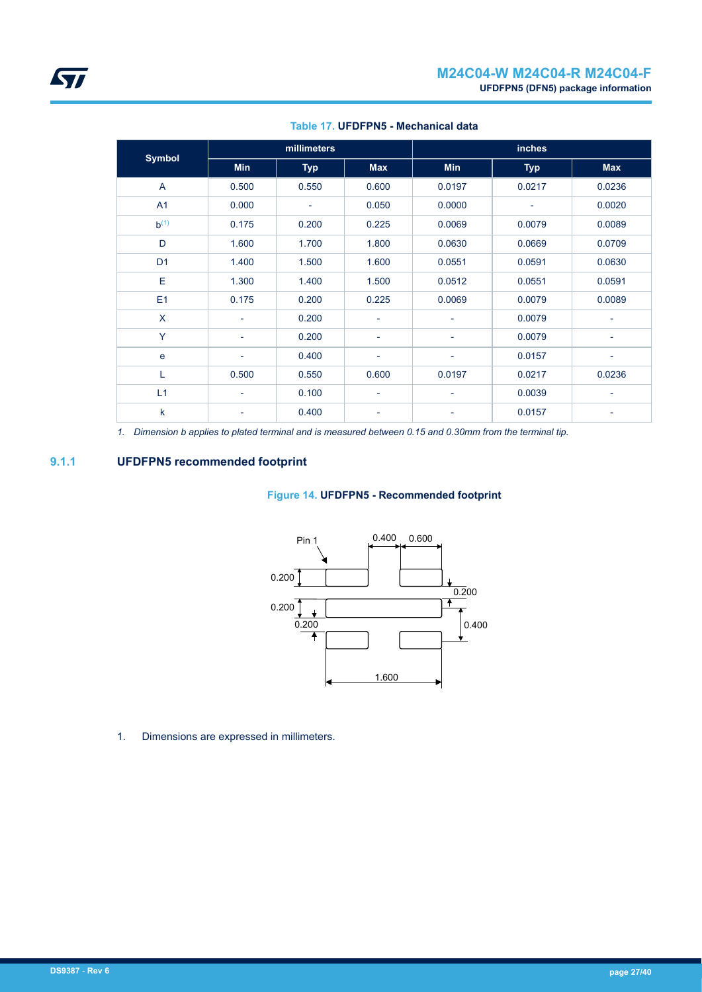<span id="page-26-0"></span>

| <b>Symbol</b>  | millimeters              |            |                          | <b>inches</b>            |            |            |  |
|----------------|--------------------------|------------|--------------------------|--------------------------|------------|------------|--|
|                | <b>Min</b>               | <b>Typ</b> | <b>Max</b>               | <b>Min</b>               | <b>Typ</b> | <b>Max</b> |  |
| A              | 0.500                    | 0.550      | 0.600                    | 0.0197                   | 0.0217     | 0.0236     |  |
| A1             | 0.000                    | -          | 0.050                    | 0.0000                   |            | 0.0020     |  |
| $b^{(1)}$      | 0.175                    | 0.200      | 0.225                    | 0.0069                   | 0.0079     | 0.0089     |  |
| D              | 1.600                    | 1.700      | 1.800                    | 0.0630                   | 0.0669     | 0.0709     |  |
| D <sub>1</sub> | 1.400                    | 1.500      | 1.600                    | 0.0551                   | 0.0591     | 0.0630     |  |
| E              | 1.300                    | 1.400      | 1.500                    | 0.0512                   | 0.0551     | 0.0591     |  |
| E1             | 0.175                    | 0.200      | 0.225                    | 0.0069                   | 0.0079     | 0.0089     |  |
| X              | ٠                        | 0.200      | $\overline{\phantom{a}}$ |                          | 0.0079     |            |  |
| Y              | ٠                        | 0.200      | $\overline{\phantom{a}}$ | $\overline{\phantom{a}}$ | 0.0079     | ٠          |  |
| e              | ۰                        | 0.400      | ۰                        | $\overline{\phantom{a}}$ | 0.0157     | -          |  |
| L              | 0.500                    | 0.550      | 0.600                    | 0.0197                   | 0.0217     | 0.0236     |  |
| L1             | ۰                        | 0.100      | $\overline{\phantom{a}}$ | $\overline{\phantom{a}}$ | 0.0039     | -          |  |
| k              | $\overline{\phantom{0}}$ | 0.400      | $\overline{\phantom{a}}$ |                          | 0.0157     |            |  |

#### **Table 17. UFDFPN5 - Mechanical data**

*1. Dimension b applies to plated terminal and is measured between 0.15 and 0.30mm from the terminal tip.*

### **9.1.1 UFDFPN5 recommended footprint**

#### **Figure 14. UFDFPN5 - Recommended footprint**



1. Dimensions are expressed in millimeters.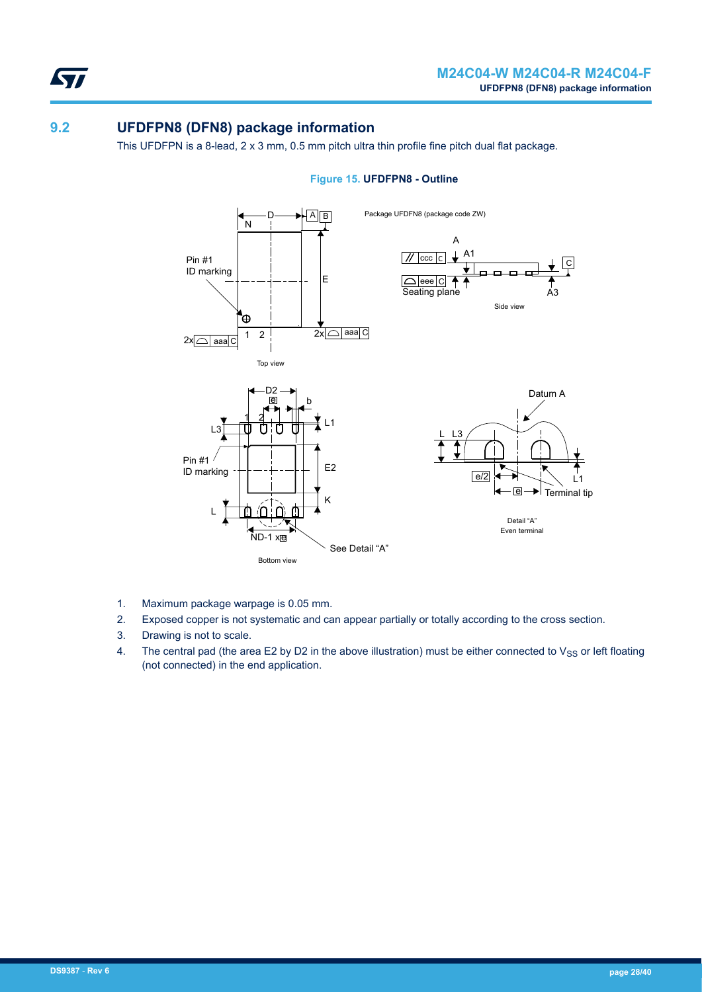<span id="page-27-0"></span>57

## **9.2 UFDFPN8 (DFN8) package information**

This UFDFPN is a 8-lead, 2 x 3 mm, 0.5 mm pitch ultra thin profile fine pitch dual flat package.



#### **Figure 15. UFDFPN8 - Outline**

- 1. Maximum package warpage is 0.05 mm.
- 2. Exposed copper is not systematic and can appear partially or totally according to the cross section.
- 3. Drawing is not to scale.
- 4. The central pad (the area E2 by D2 in the above illustration) must be either connected to  $V_{SS}$  or left floating (not connected) in the end application.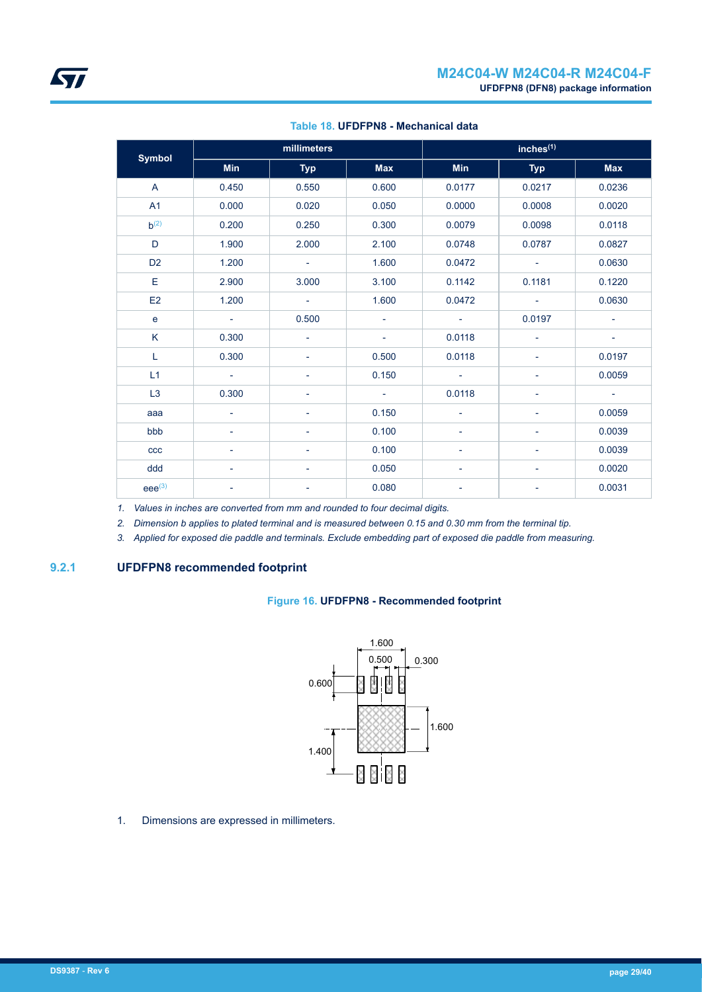<span id="page-28-0"></span>

| <b>Symbol</b>  |                | millimeters              |                          | inches <sup>(1)</sup>    |                          |                          |  |
|----------------|----------------|--------------------------|--------------------------|--------------------------|--------------------------|--------------------------|--|
|                | <b>Min</b>     | <b>Typ</b>               | <b>Max</b>               | Min                      | <b>Typ</b>               | <b>Max</b>               |  |
| $\overline{A}$ | 0.450          | 0.550                    | 0.600                    | 0.0177                   | 0.0217                   | 0.0236                   |  |
| A1             | 0.000          | 0.020                    | 0.050                    | 0.0000                   | 0.0008                   | 0.0020                   |  |
| $h^{(2)}$      | 0.200          | 0.250                    | 0.300                    | 0.0079                   | 0.0098                   | 0.0118                   |  |
| D              | 1.900          | 2.000                    | 2.100                    | 0.0748                   | 0.0787                   | 0.0827                   |  |
| D <sub>2</sub> | 1.200          | $\sim$                   | 1.600                    | 0.0472                   | $\blacksquare$           | 0.0630                   |  |
| Е              | 2.900          | 3.000                    | 3.100                    | 0.1142                   | 0.1181                   | 0.1220                   |  |
| E <sub>2</sub> | 1.200          | $\sim$                   | 1.600                    | 0.0472                   | $\overline{\phantom{a}}$ | 0.0630                   |  |
| e              | $\sim$         | 0.500                    | $\overline{\phantom{a}}$ | $\sim$                   | 0.0197                   | $\overline{\phantom{a}}$ |  |
| K              | 0.300          | $\overline{\phantom{a}}$ | $\overline{\phantom{a}}$ | 0.0118                   | $\overline{\phantom{a}}$ | $\sim$                   |  |
| L              | 0.300          | ٠                        | 0.500                    | 0.0118                   | ÷,                       | 0.0197                   |  |
| L1             | $\sim$ $^{-1}$ | ٠                        | 0.150                    | $\overline{\phantom{a}}$ | ÷,                       | 0.0059                   |  |
| L3             | 0.300          |                          | $\sim$                   | 0.0118                   | $\overline{\phantom{a}}$ | $\sim$                   |  |
| aaa            | Ξ.             |                          | 0.150                    | ٠                        | $\overline{\phantom{a}}$ | 0.0059                   |  |
| bbb            | ۰              |                          | 0.100                    |                          | ٠                        | 0.0039                   |  |
| ccc            | ÷              |                          | 0.100                    | ٠                        | ÷,                       | 0.0039                   |  |
| ddd            | Ξ.             | ٠                        | 0.050                    | ٠                        | $\overline{\phantom{0}}$ | 0.0020                   |  |
| $eee^{(3)}$    | -              |                          | 0.080                    |                          | ÷,                       | 0.0031                   |  |

#### **Table 18. UFDFPN8 - Mechanical data**

*1. Values in inches are converted from mm and rounded to four decimal digits.*

*2. Dimension b applies to plated terminal and is measured between 0.15 and 0.30 mm from the terminal tip.*

*3. Applied for exposed die paddle and terminals. Exclude embedding part of exposed die paddle from measuring.*

## **9.2.1 UFDFPN8 recommended footprint**

#### **Figure 16. UFDFPN8 - Recommended footprint**



1. Dimensions are expressed in millimeters.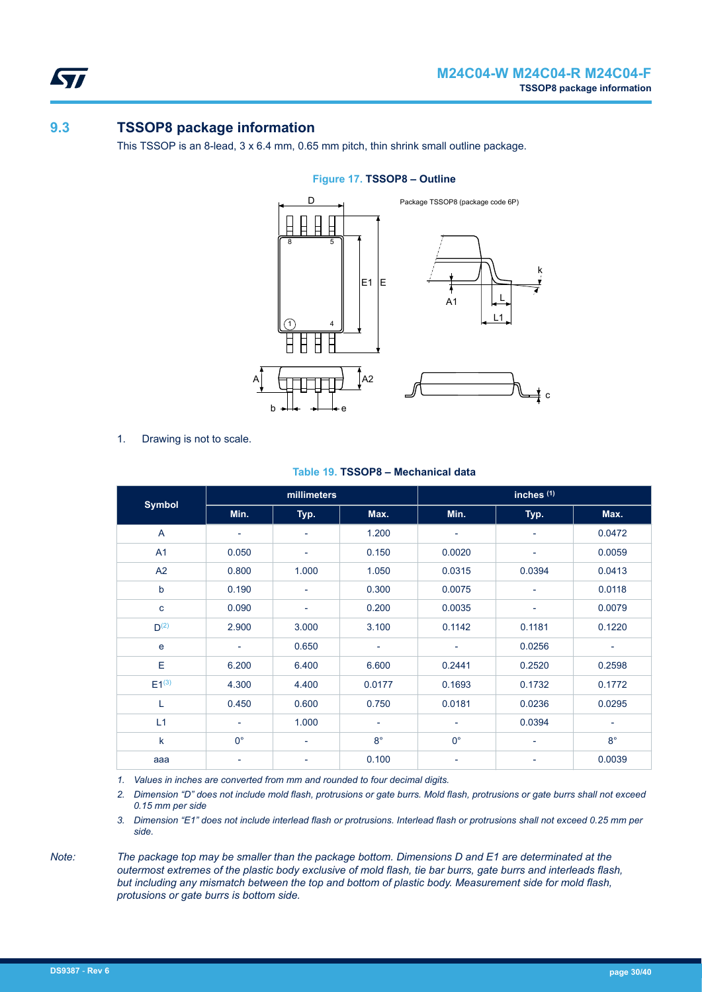<span id="page-29-0"></span>57

## **9.3 TSSOP8 package information**

This TSSOP is an 8-lead, 3 x 6.4 mm, 0.65 mm pitch, thin shrink small outline package.



#### **Figure 17. TSSOP8 – Outline**

1. Drawing is not to scale.

|                | millimeters              |                          |                          |                          | inches $(1)$             |                          |
|----------------|--------------------------|--------------------------|--------------------------|--------------------------|--------------------------|--------------------------|
| <b>Symbol</b>  | Min.                     | Typ.                     | Max.                     | Min.                     | Typ.                     | Max.                     |
| A              | $\overline{\phantom{a}}$ | $\overline{\phantom{a}}$ | 1.200                    | $\overline{\phantom{a}}$ | $\overline{\phantom{a}}$ | 0.0472                   |
| A <sub>1</sub> | 0.050                    | ÷                        | 0.150                    | 0.0020                   | $\overline{\phantom{a}}$ | 0.0059                   |
| A2             | 0.800                    | 1.000                    | 1.050                    | 0.0315                   | 0.0394                   | 0.0413                   |
| $\mathsf b$    | 0.190                    | $\overline{\phantom{a}}$ | 0.300                    | 0.0075                   | $\overline{\phantom{a}}$ | 0.0118                   |
| $\mathbf{C}$   | 0.090                    | $\overline{\phantom{a}}$ | 0.200                    | 0.0035                   | $\overline{\phantom{a}}$ | 0.0079                   |
| $D^{(2)}$      | 2.900                    | 3.000                    | 3.100                    | 0.1142                   | 0.1181                   | 0.1220                   |
| e              | ٠                        | 0.650                    | $\overline{\phantom{a}}$ | $\overline{\phantom{a}}$ | 0.0256                   | ۰                        |
| E              | 6.200                    | 6.400                    | 6.600                    | 0.2441                   | 0.2520                   | 0.2598                   |
| $E1^{(3)}$     | 4.300                    | 4.400                    | 0.0177                   | 0.1693                   | 0.1732                   | 0.1772                   |
| L              | 0.450                    | 0.600                    | 0.750                    | 0.0181                   | 0.0236                   | 0.0295                   |
| L1             | $\overline{\phantom{a}}$ | 1.000                    | $\overline{\phantom{a}}$ | $\overline{\phantom{a}}$ | 0.0394                   | $\overline{\phantom{a}}$ |
| $\mathsf k$    | $0^{\circ}$              | ٠                        | $8^{\circ}$              | $0^{\circ}$              | $\overline{\phantom{a}}$ | $8^{\circ}$              |
| aaa            | $\overline{\phantom{a}}$ | ۰                        | 0.100                    | $\overline{\phantom{a}}$ | -                        | 0.0039                   |

#### **Table 19. TSSOP8 – Mechanical data**

*1. Values in inches are converted from mm and rounded to four decimal digits.*

*2. Dimension "D" does not include mold flash, protrusions or gate burrs. Mold flash, protrusions or gate burrs shall not exceed 0.15 mm per side*

*3. Dimension "E1" does not include interlead flash or protrusions. Interlead flash or protrusions shall not exceed 0.25 mm per side.*

*Note: The package top may be smaller than the package bottom. Dimensions D and E1 are determinated at the outermost extremes of the plastic body exclusive of mold flash, tie bar burrs, gate burrs and interleads flash, but including any mismatch between the top and bottom of plastic body. Measurement side for mold flash, protusions or gate burrs is bottom side.*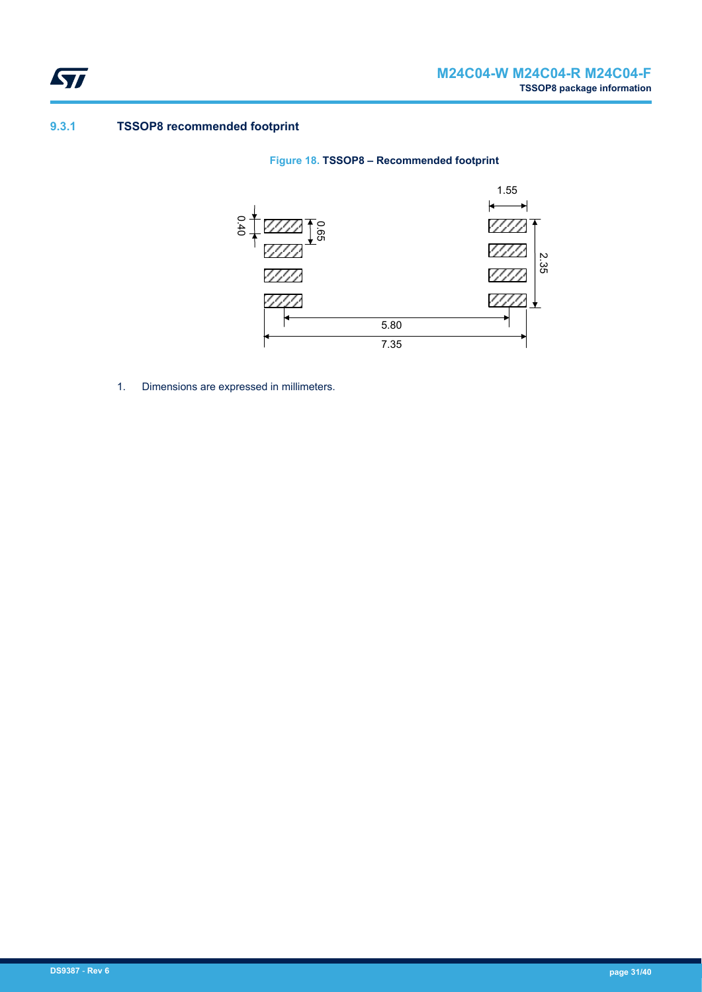<span id="page-30-0"></span>

### **9.3.1 TSSOP8 recommended footprint**





1. Dimensions are expressed in millimeters.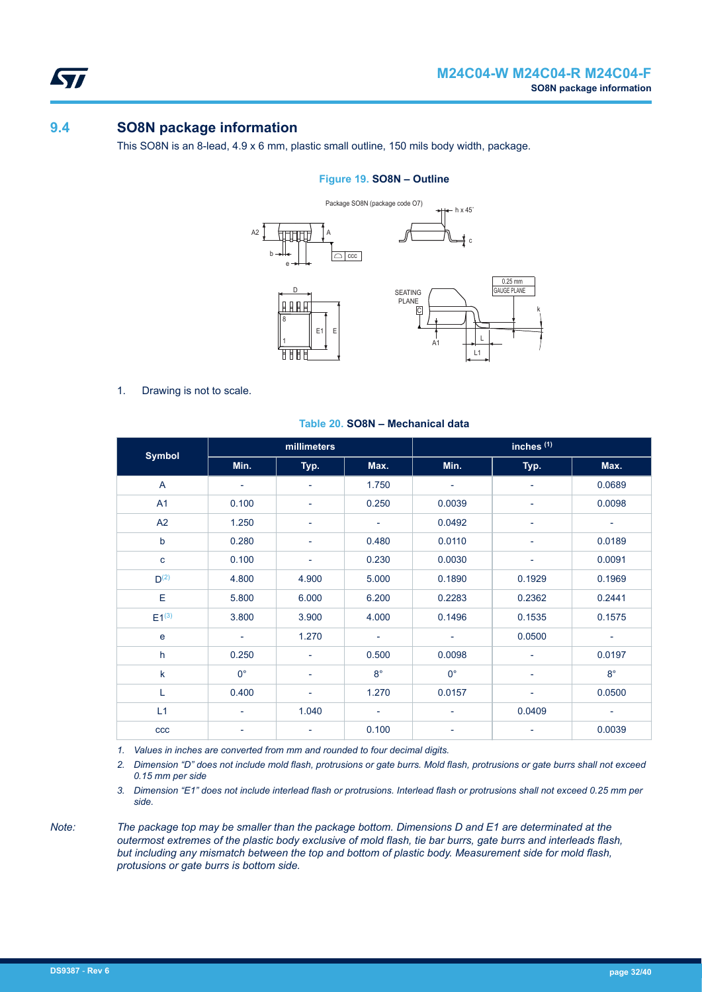<span id="page-31-0"></span>57

## **9.4 SO8N package information**

This SO8N is an 8-lead, 4.9 x 6 mm, plastic small outline, 150 mils body width, package.

#### **Figure 19. SO8N – Outline**



1. Drawing is not to scale.

|               | millimeters              |                          |                          |                          | inches <sup>(1)</sup>    |                          |
|---------------|--------------------------|--------------------------|--------------------------|--------------------------|--------------------------|--------------------------|
| <b>Symbol</b> | Min.                     | Typ.                     | Max.                     | Min.                     | Typ.                     | Max.                     |
| A             | ۰                        | $\overline{\phantom{a}}$ | 1.750                    | ٠                        | ٠                        | 0.0689                   |
| A1            | 0.100                    | $\overline{\phantom{a}}$ | 0.250                    | 0.0039                   | -                        | 0.0098                   |
| A2            | 1.250                    | -                        | ٠                        | 0.0492                   | ۰                        | $\overline{\phantom{a}}$ |
| $\mathsf b$   | 0.280                    | -                        | 0.480                    | 0.0110                   |                          | 0.0189                   |
| $\mathbf{C}$  | 0.100                    | -                        | 0.230                    | 0.0030                   | ۰                        | 0.0091                   |
| $D^{(2)}$     | 4.800                    | 4.900                    | 5.000                    | 0.1890                   | 0.1929                   | 0.1969                   |
| E             | 5.800                    | 6.000                    | 6.200                    | 0.2283                   | 0.2362                   | 0.2441                   |
| $E1^{(3)}$    | 3.800                    | 3.900                    | 4.000                    | 0.1496                   | 0.1535                   | 0.1575                   |
| e             | $\overline{\phantom{a}}$ | 1.270                    | $\overline{\phantom{a}}$ | $\overline{\phantom{a}}$ | 0.0500                   |                          |
| h             | 0.250                    | $\overline{\phantom{a}}$ | 0.500                    | 0.0098                   | ٠                        | 0.0197                   |
| $\sf k$       | $0^{\circ}$              | $\overline{\phantom{a}}$ | $8^{\circ}$              | $0^{\circ}$              | ۰                        | $8^{\circ}$              |
| L             | 0.400                    | $\overline{\phantom{a}}$ | 1.270                    | 0.0157                   | $\overline{\phantom{a}}$ | 0.0500                   |
| L1            | $\overline{\phantom{a}}$ | 1.040                    | ٠                        | $\overline{\phantom{a}}$ | 0.0409                   | ۰                        |
| ccc           | $\overline{\phantom{0}}$ | -                        | 0.100                    | $\overline{\phantom{a}}$ |                          | 0.0039                   |

#### **Table 20. SO8N – Mechanical data**

*1. Values in inches are converted from mm and rounded to four decimal digits.*

*2. Dimension "D" does not include mold flash, protrusions or gate burrs. Mold flash, protrusions or gate burrs shall not exceed 0.15 mm per side*

*3. Dimension "E1" does not include interlead flash or protrusions. Interlead flash or protrusions shall not exceed 0.25 mm per side.*

*Note: The package top may be smaller than the package bottom. Dimensions D and E1 are determinated at the outermost extremes of the plastic body exclusive of mold flash, tie bar burrs, gate burrs and interleads flash, but including any mismatch between the top and bottom of plastic body. Measurement side for mold flash, protusions or gate burrs is bottom side.*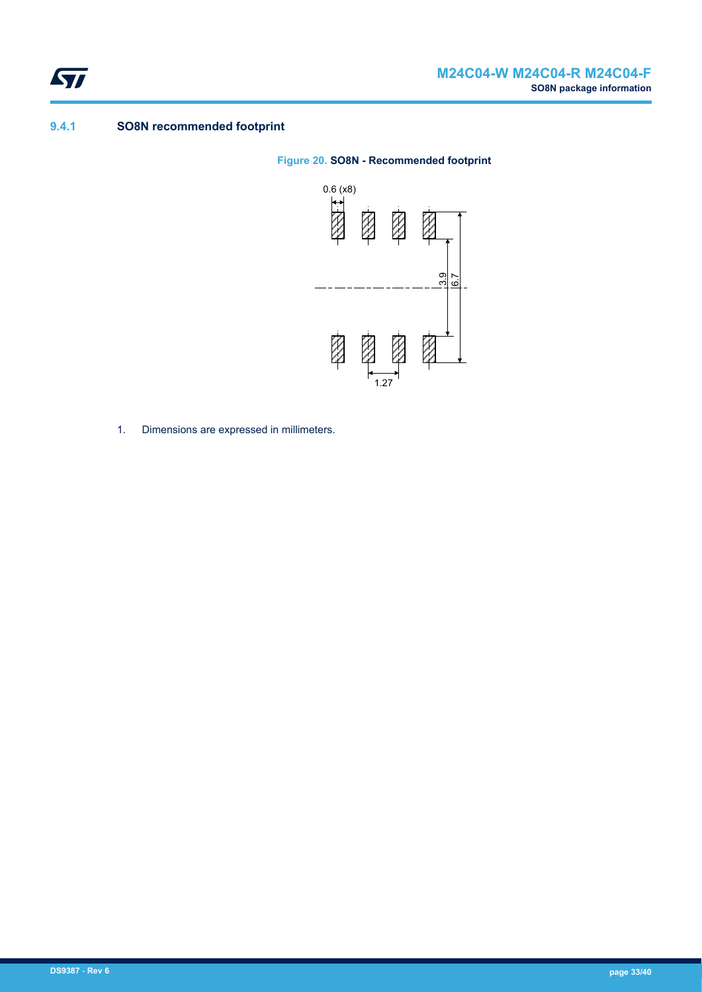<span id="page-32-0"></span>

### **9.4.1 SO8N recommended footprint**

#### **Figure 20. SO8N - Recommended footprint**



1. Dimensions are expressed in millimeters.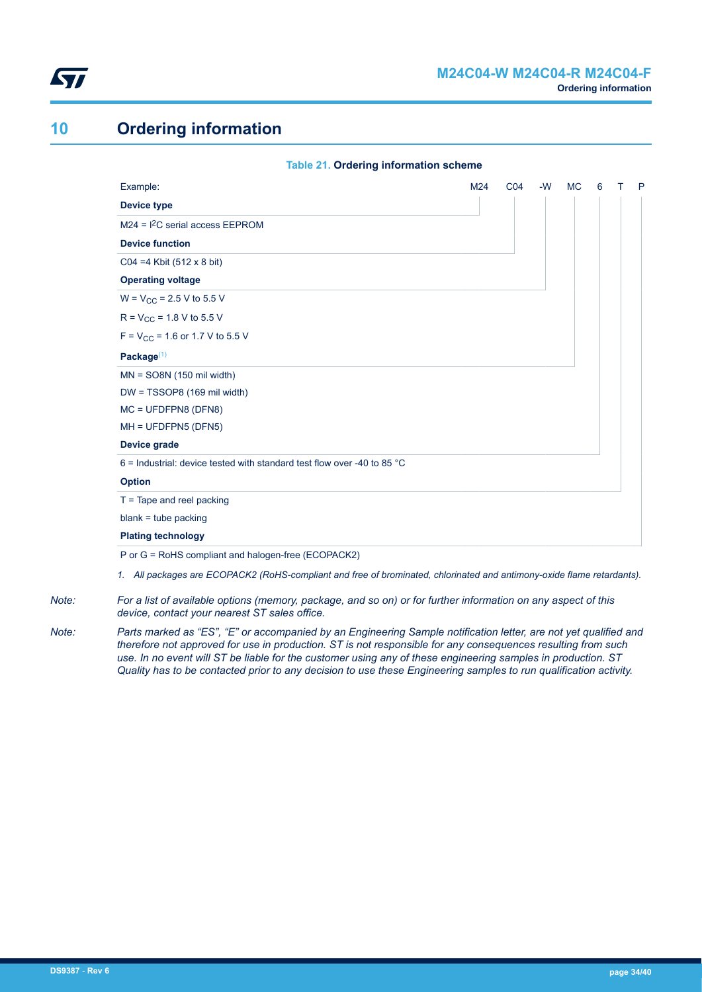<span id="page-33-0"></span>

## **10 Ordering information**

| <b>Table 21. Ordering information scheme</b>                                      |     |                 |      |           |   |   |
|-----------------------------------------------------------------------------------|-----|-----------------|------|-----------|---|---|
| Example:                                                                          | M24 | CO <sub>4</sub> | $-W$ | <b>MC</b> | 6 | P |
| <b>Device type</b>                                                                |     |                 |      |           |   |   |
| $M24 = 12C$ serial access EEPROM                                                  |     |                 |      |           |   |   |
| <b>Device function</b>                                                            |     |                 |      |           |   |   |
| $CO4 = 4$ Kbit (512 x 8 bit)                                                      |     |                 |      |           |   |   |
| <b>Operating voltage</b>                                                          |     |                 |      |           |   |   |
| $W = V_{CC} = 2.5 V$ to 5.5 V                                                     |     |                 |      |           |   |   |
| $R = V_{CC} = 1.8 V$ to 5.5 V                                                     |     |                 |      |           |   |   |
| $F = V_{CC} = 1.6$ or 1.7 V to 5.5 V                                              |     |                 |      |           |   |   |
| Package $(1)$                                                                     |     |                 |      |           |   |   |
| $MN = SO8N (150 mil width)$                                                       |     |                 |      |           |   |   |
| $DW = TSSOP8$ (169 mil width)                                                     |     |                 |      |           |   |   |
| $MC = UFDFPN8 (DFN8)$                                                             |     |                 |      |           |   |   |
| $MH = UFDFPN5 (DFN5)$                                                             |     |                 |      |           |   |   |
| Device grade                                                                      |     |                 |      |           |   |   |
| 6 = Industrial: device tested with standard test flow over -40 to 85 $^{\circ}$ C |     |                 |      |           |   |   |
| <b>Option</b>                                                                     |     |                 |      |           |   |   |
| $T =$ Tape and reel packing                                                       |     |                 |      |           |   |   |
| $blank = tube$ packing                                                            |     |                 |      |           |   |   |
| <b>Plating technology</b>                                                         |     |                 |      |           |   |   |
| P or G = RoHS compliant and halogen-free (ECOPACK2)                               |     |                 |      |           |   |   |
|                                                                                   |     |                 |      |           |   |   |

*1. All packages are ECOPACK2 (RoHS-compliant and free of brominated, chlorinated and antimony-oxide flame retardants).*

*Note: For a list of available options (memory, package, and so on) or for further information on any aspect of this device, contact your nearest ST sales office.*

*Note: Parts marked as "ES", "E" or accompanied by an Engineering Sample notification letter, are not yet qualified and therefore not approved for use in production. ST is not responsible for any consequences resulting from such use. In no event will ST be liable for the customer using any of these engineering samples in production. ST Quality has to be contacted prior to any decision to use these Engineering samples to run qualification activity.*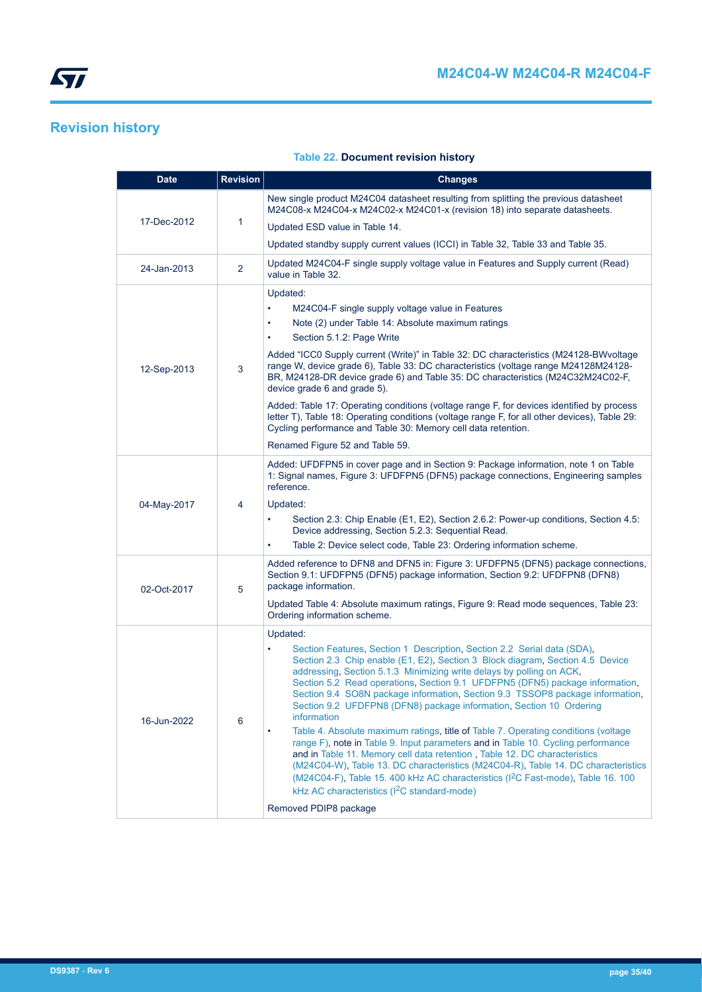## <span id="page-34-0"></span>**Revision history**

#### **Table 22. Document revision history**

| <b>Date</b> | <b>Revision</b> | <b>Changes</b>                                                                                                                                                                                                                                                                                                                                                                                                                                                                                                                                                                                                                                                                                                                                                                                                                                                                                                                                                                                                                                         |
|-------------|-----------------|--------------------------------------------------------------------------------------------------------------------------------------------------------------------------------------------------------------------------------------------------------------------------------------------------------------------------------------------------------------------------------------------------------------------------------------------------------------------------------------------------------------------------------------------------------------------------------------------------------------------------------------------------------------------------------------------------------------------------------------------------------------------------------------------------------------------------------------------------------------------------------------------------------------------------------------------------------------------------------------------------------------------------------------------------------|
|             |                 | New single product M24C04 datasheet resulting from splitting the previous datasheet<br>M24C08-x M24C04-x M24C02-x M24C01-x (revision 18) into separate datasheets.                                                                                                                                                                                                                                                                                                                                                                                                                                                                                                                                                                                                                                                                                                                                                                                                                                                                                     |
| 17-Dec-2012 | 1               | Updated ESD value in Table 14.                                                                                                                                                                                                                                                                                                                                                                                                                                                                                                                                                                                                                                                                                                                                                                                                                                                                                                                                                                                                                         |
|             |                 | Updated standby supply current values (ICCI) in Table 32, Table 33 and Table 35.                                                                                                                                                                                                                                                                                                                                                                                                                                                                                                                                                                                                                                                                                                                                                                                                                                                                                                                                                                       |
| 24-Jan-2013 | 2               | Updated M24C04-F single supply voltage value in Features and Supply current (Read)<br>value in Table 32.                                                                                                                                                                                                                                                                                                                                                                                                                                                                                                                                                                                                                                                                                                                                                                                                                                                                                                                                               |
| 12-Sep-2013 | 3               | Updated:<br>M24C04-F single supply voltage value in Features<br>$\bullet$<br>Note (2) under Table 14: Absolute maximum ratings<br>$\bullet$<br>Section 5.1.2: Page Write<br>$\bullet$<br>Added "ICC0 Supply current (Write)" in Table 32: DC characteristics (M24128-BWvoltage<br>range W, device grade 6), Table 33: DC characteristics (voltage range M24128M24128-<br>BR, M24128-DR device grade 6) and Table 35: DC characteristics (M24C32M24C02-F,<br>device grade 6 and grade 5).<br>Added: Table 17: Operating conditions (voltage range F, for devices identified by process<br>letter T), Table 18: Operating conditions (voltage range F, for all other devices), Table 29:<br>Cycling performance and Table 30: Memory cell data retention.<br>Renamed Figure 52 and Table 59.                                                                                                                                                                                                                                                             |
| 04-May-2017 | 4               | Added: UFDFPN5 in cover page and in Section 9: Package information, note 1 on Table<br>1: Signal names, Figure 3: UFDFPN5 (DFN5) package connections, Engineering samples<br>reference.<br>Updated:<br>Section 2.3: Chip Enable (E1, E2), Section 2.6.2: Power-up conditions, Section 4.5:<br>$\bullet$<br>Device addressing, Section 5.2.3: Sequential Read.<br>Table 2: Device select code, Table 23: Ordering information scheme.<br>$\bullet$                                                                                                                                                                                                                                                                                                                                                                                                                                                                                                                                                                                                      |
| 02-Oct-2017 | 5               | Added reference to DFN8 and DFN5 in: Figure 3: UFDFPN5 (DFN5) package connections,<br>Section 9.1: UFDFPN5 (DFN5) package information, Section 9.2: UFDFPN8 (DFN8)<br>package information.<br>Updated Table 4: Absolute maximum ratings, Figure 9: Read mode sequences, Table 23:<br>Ordering information scheme.                                                                                                                                                                                                                                                                                                                                                                                                                                                                                                                                                                                                                                                                                                                                      |
| 16-Jun-2022 | 6               | Updated:<br>Section Features, Section 1 Description, Section 2.2 Serial data (SDA),<br>$\bullet$<br>Section 2.3 Chip enable (E1, E2), Section 3 Block diagram, Section 4.5 Device<br>addressing, Section 5.1.3 Minimizing write delays by polling on ACK,<br>Section 5.2 Read operations, Section 9.1 UFDFPN5 (DFN5) package information,<br>Section 9.4 SO8N package information, Section 9.3 TSSOP8 package information,<br>Section 9.2 UFDFPN8 (DFN8) package information, Section 10 Ordering<br>information<br>Table 4. Absolute maximum ratings, title of Table 7. Operating conditions (voltage)<br>٠<br>range F), note in Table 9. Input parameters and in Table 10. Cycling performance<br>and in Table 11. Memory cell data retention, Table 12. DC characteristics<br>(M24C04-W), Table 13. DC characteristics (M24C04-R), Table 14. DC characteristics<br>(M24C04-F), Table 15. 400 kHz AC characteristics (I <sup>2</sup> C Fast-mode), Table 16. 100<br>kHz AC characteristics (I <sup>2</sup> C standard-mode)<br>Removed PDIP8 package |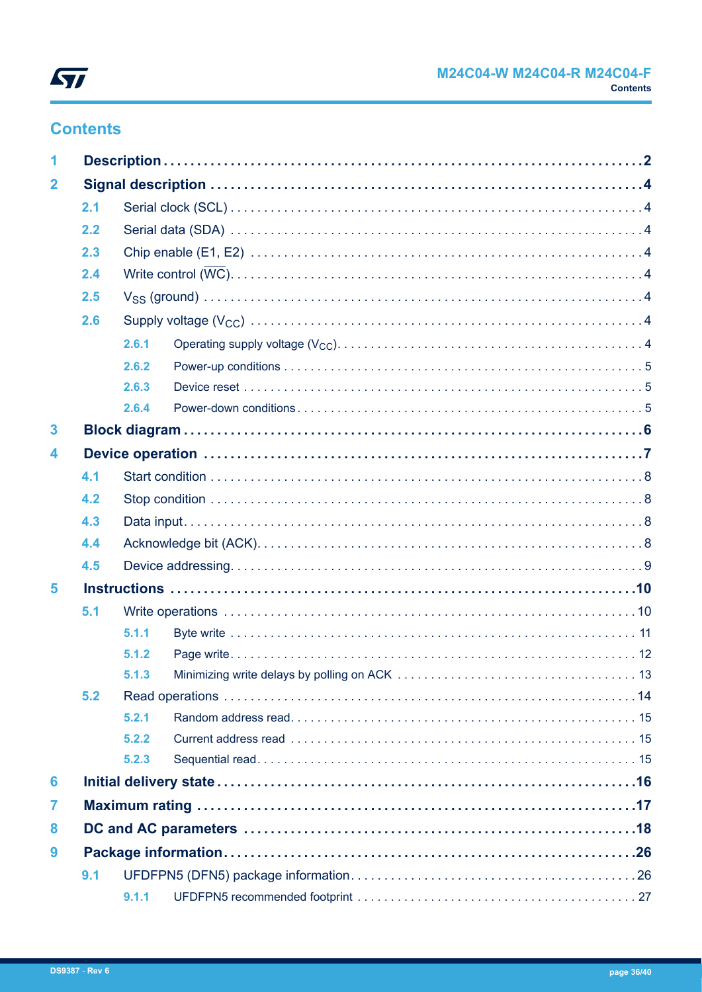

## **Contents**

| 1                       |     |       |  |  |  |  |
|-------------------------|-----|-------|--|--|--|--|
| $\overline{\mathbf{2}}$ |     |       |  |  |  |  |
|                         | 2.1 |       |  |  |  |  |
|                         | 2.2 |       |  |  |  |  |
|                         | 2.3 |       |  |  |  |  |
|                         | 2.4 |       |  |  |  |  |
|                         | 2.5 |       |  |  |  |  |
|                         | 2.6 |       |  |  |  |  |
|                         |     | 2.6.1 |  |  |  |  |
|                         |     | 2.6.2 |  |  |  |  |
|                         |     | 2.6.3 |  |  |  |  |
|                         |     | 2.6.4 |  |  |  |  |
| 3                       |     |       |  |  |  |  |
| 4                       |     |       |  |  |  |  |
|                         | 4.1 |       |  |  |  |  |
|                         | 4.2 |       |  |  |  |  |
|                         | 4.3 |       |  |  |  |  |
|                         | 4.4 |       |  |  |  |  |
|                         | 4.5 |       |  |  |  |  |
| 5                       |     |       |  |  |  |  |
|                         | 5.1 |       |  |  |  |  |
|                         |     | 5.1.1 |  |  |  |  |
|                         |     | 5.1.2 |  |  |  |  |
|                         |     | 5.1.3 |  |  |  |  |
|                         | 5.2 |       |  |  |  |  |
|                         |     | 5.2.1 |  |  |  |  |
|                         |     | 5.2.2 |  |  |  |  |
|                         |     | 5.2.3 |  |  |  |  |
| 6                       |     |       |  |  |  |  |
| 7                       |     |       |  |  |  |  |
| 8                       |     |       |  |  |  |  |
| 9                       |     |       |  |  |  |  |
|                         | 9.1 |       |  |  |  |  |
|                         |     | 9.1.1 |  |  |  |  |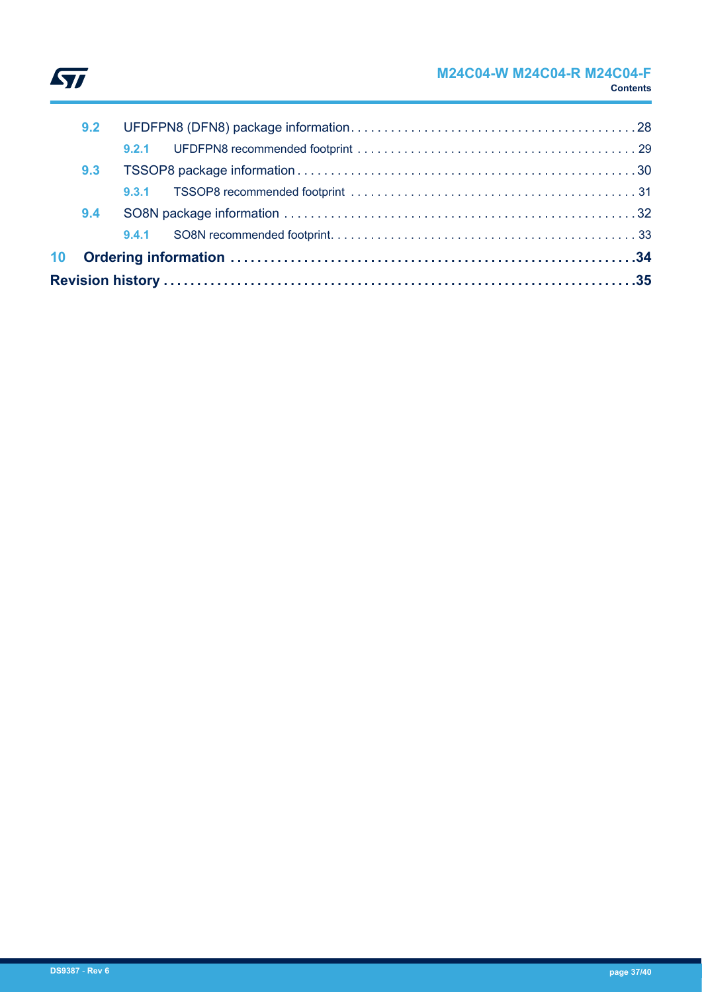

| 10 <sub>1</sub> |     |       |  |
|-----------------|-----|-------|--|
|                 |     | 9.4.1 |  |
|                 | 9.4 |       |  |
|                 |     | 9.3.1 |  |
|                 | 9.3 |       |  |
|                 |     | 9.2.1 |  |
|                 | 9.2 |       |  |
|                 |     |       |  |

 $\sqrt{2}$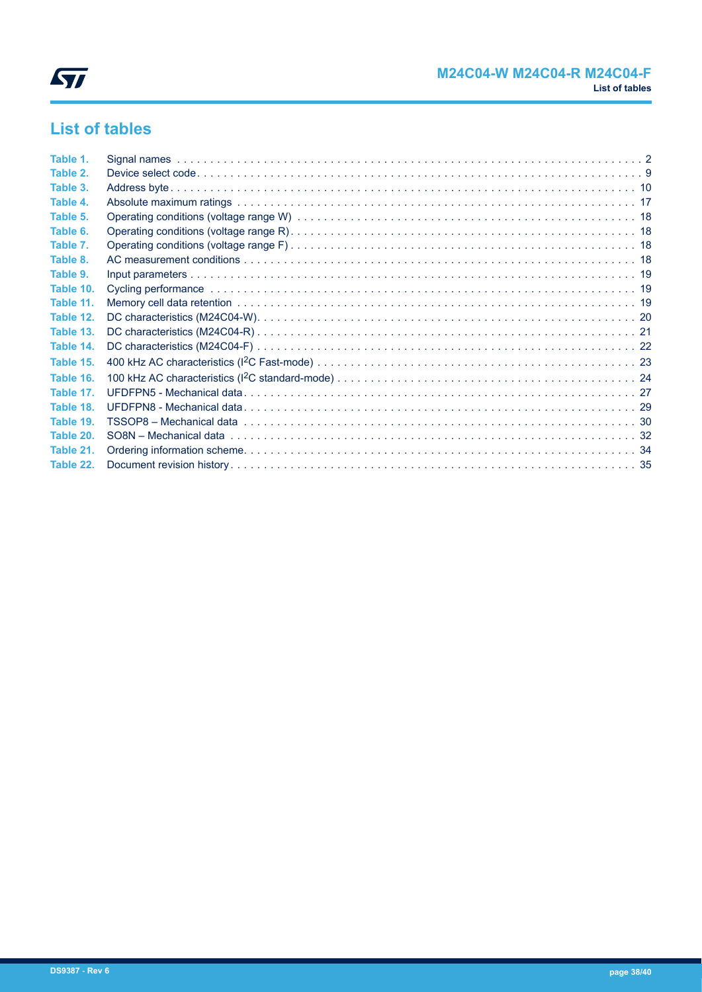

## **List of tables**

| Table 1.  |  |
|-----------|--|
| Table 2.  |  |
| Table 3.  |  |
| Table 4.  |  |
| Table 5.  |  |
| Table 6.  |  |
| Table 7.  |  |
| Table 8.  |  |
| Table 9.  |  |
| Table 10. |  |
| Table 11. |  |
| Table 12. |  |
| Table 13. |  |
| Table 14. |  |
| Table 15. |  |
| Table 16. |  |
| Table 17. |  |
| Table 18. |  |
| Table 19. |  |
| Table 20. |  |
| Table 21. |  |
| Table 22. |  |
|           |  |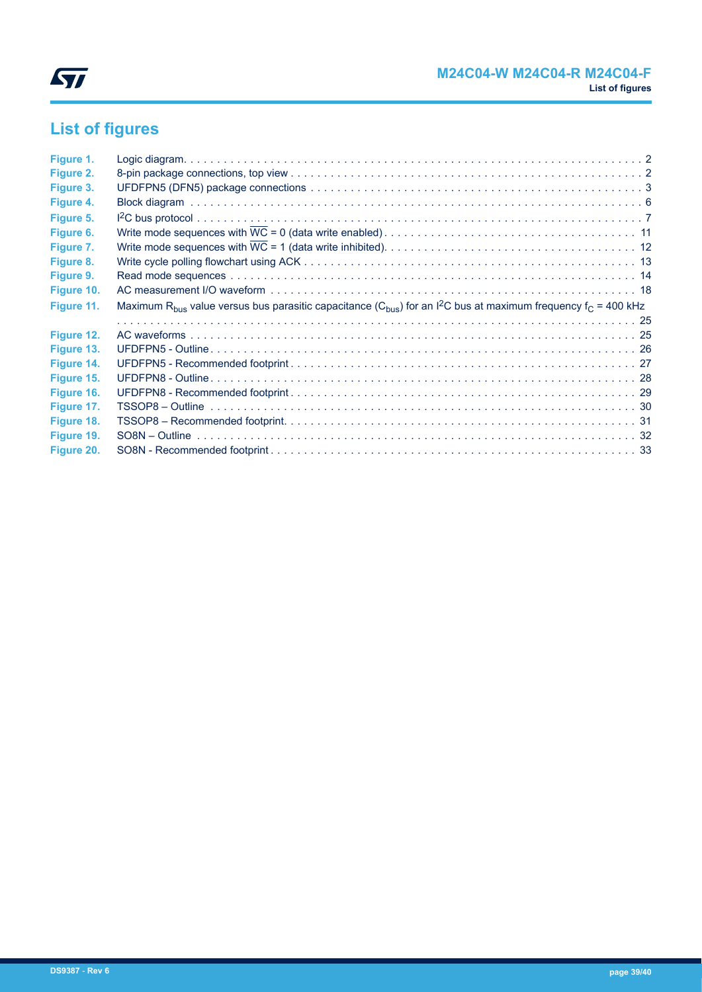

# **List of figures**

| Figure 1.  |                                                                                                                                                               |  |
|------------|---------------------------------------------------------------------------------------------------------------------------------------------------------------|--|
| Figure 2.  |                                                                                                                                                               |  |
| Figure 3.  |                                                                                                                                                               |  |
| Figure 4.  |                                                                                                                                                               |  |
| Figure 5.  |                                                                                                                                                               |  |
| Figure 6.  |                                                                                                                                                               |  |
| Figure 7.  |                                                                                                                                                               |  |
| Figure 8.  |                                                                                                                                                               |  |
| Figure 9.  |                                                                                                                                                               |  |
| Figure 10. |                                                                                                                                                               |  |
| Figure 11. | Maximum R <sub>bus</sub> value versus bus parasitic capacitance (C <sub>bus</sub> ) for an I <sup>2</sup> C bus at maximum frequency f <sub>C</sub> = 400 kHz |  |
|            |                                                                                                                                                               |  |
| Figure 12. |                                                                                                                                                               |  |
| Figure 13. |                                                                                                                                                               |  |
| Figure 14. |                                                                                                                                                               |  |
| Figure 15. |                                                                                                                                                               |  |
| Figure 16. |                                                                                                                                                               |  |
| Figure 17. |                                                                                                                                                               |  |
| Figure 18. |                                                                                                                                                               |  |
| Figure 19. |                                                                                                                                                               |  |
| Figure 20. |                                                                                                                                                               |  |
|            |                                                                                                                                                               |  |